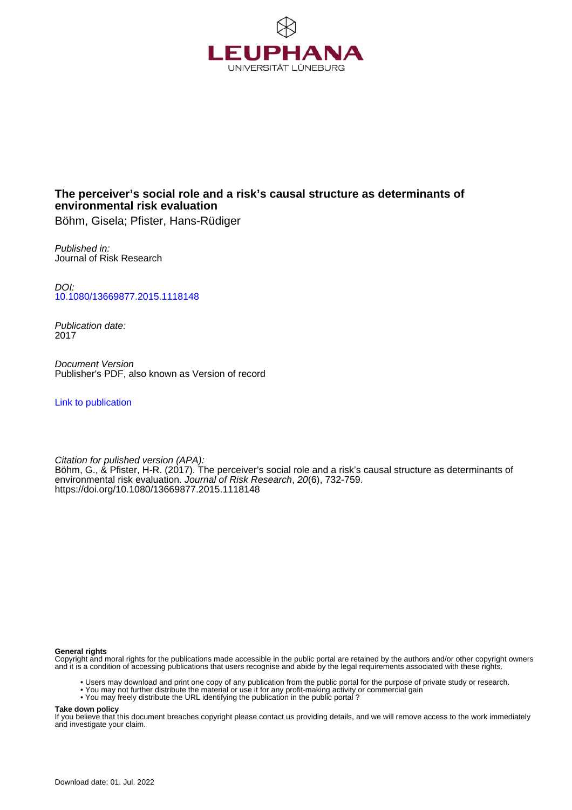

# **The perceiver's social role and a risk's causal structure as determinants of environmental risk evaluation**

Böhm, Gisela; Pfister, Hans-Rüdiger

Published in: Journal of Risk Research

DOI: [10.1080/13669877.2015.1118148](https://doi.org/10.1080/13669877.2015.1118148)

Publication date: 2017

Document Version Publisher's PDF, also known as Version of record

[Link to publication](http://fox.leuphana.de/portal/en/publications/the-perceivers-social-role-and-a-risks-causal-structure-as-determinants-of-environmental-risk-evaluation(3d663d27-60d3-47e0-8c8a-7339e6685b6d).html)

Citation for pulished version (APA): Böhm, G[., & Pfister, H-R.](http://fox.leuphana.de/portal/de/persons/hansrudiger-pfister(766001d2-4a14-489d-ade8-20f175b372d6).html) (2017). [The perceiver's social role and a risk's causal structure as determinants of](http://fox.leuphana.de/portal/de/publications/the-perceivers-social-role-and-a-risks-causal-structure-as-determinants-of-environmental-risk-evaluation(3d663d27-60d3-47e0-8c8a-7339e6685b6d).html) [environmental risk evaluation](http://fox.leuphana.de/portal/de/publications/the-perceivers-social-role-and-a-risks-causal-structure-as-determinants-of-environmental-risk-evaluation(3d663d27-60d3-47e0-8c8a-7339e6685b6d).html). [Journal of Risk Research](http://fox.leuphana.de/portal/de/journals/journal-of-risk-research(174dd150-a478-44f7-9128-55801ffc692a)/publications.html), 20(6), 732-759. <https://doi.org/10.1080/13669877.2015.1118148>

#### **General rights**

Copyright and moral rights for the publications made accessible in the public portal are retained by the authors and/or other copyright owners and it is a condition of accessing publications that users recognise and abide by the legal requirements associated with these rights.

- Users may download and print one copy of any publication from the public portal for the purpose of private study or research.
- You may not further distribute the material or use it for any profit-making activity or commercial gain
- You may freely distribute the URL identifying the publication in the public portal ?

## **Take down policy**

If you believe that this document breaches copyright please contact us providing details, and we will remove access to the work immediately and investigate your claim.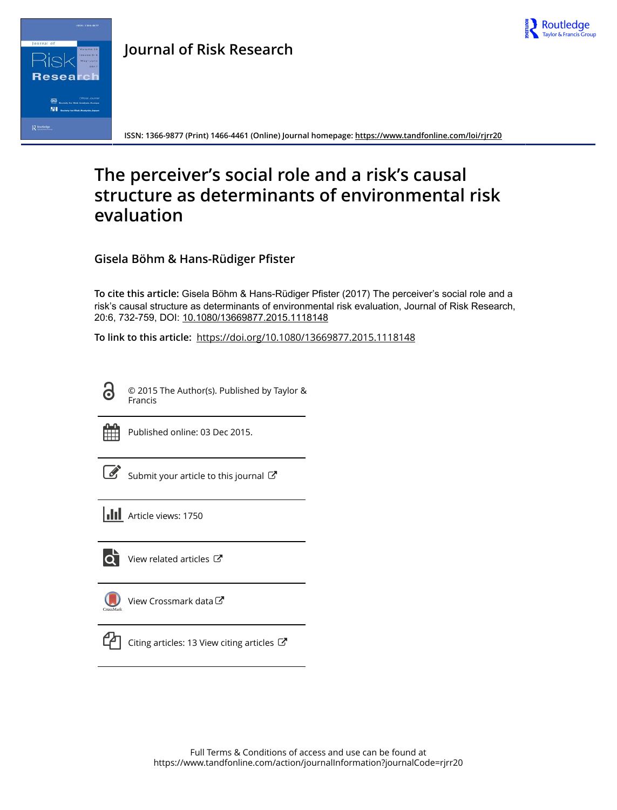

# **Journal of Risk Research**



**ISSN: 1366-9877 (Print) 1466-4461 (Online) Journal homepage:<https://www.tandfonline.com/loi/rjrr20>**

# **The perceiver's social role and a risk's causal structure as determinants of environmental risk evaluation**

**Gisela Böhm & Hans-Rüdiger Pfister**

**To cite this article:** Gisela Böhm & Hans-Rüdiger Pfister (2017) The perceiver's social role and a risk's causal structure as determinants of environmental risk evaluation, Journal of Risk Research, 20:6, 732-759, DOI: [10.1080/13669877.2015.1118148](https://www.tandfonline.com/action/showCitFormats?doi=10.1080/13669877.2015.1118148)

**To link to this article:** <https://doi.org/10.1080/13669877.2015.1118148>

G

© 2015 The Author(s). Published by Taylor & Francis



Published online: 03 Dec 2015.

| ł<br>۰. |
|---------|

[Submit your article to this journal](https://www.tandfonline.com/action/authorSubmission?journalCode=rjrr20&show=instructions)  $\mathbb{Z}$ 





 $\bullet$  [View related articles](https://www.tandfonline.com/doi/mlt/10.1080/13669877.2015.1118148)  $\sigma$ 

[View Crossmark data](http://crossmark.crossref.org/dialog/?doi=10.1080/13669877.2015.1118148&domain=pdf&date_stamp=2015-12-03)



 $\Box$  [Citing articles: 13 View citing articles](https://www.tandfonline.com/doi/citedby/10.1080/13669877.2015.1118148#tabModule)  $\Box$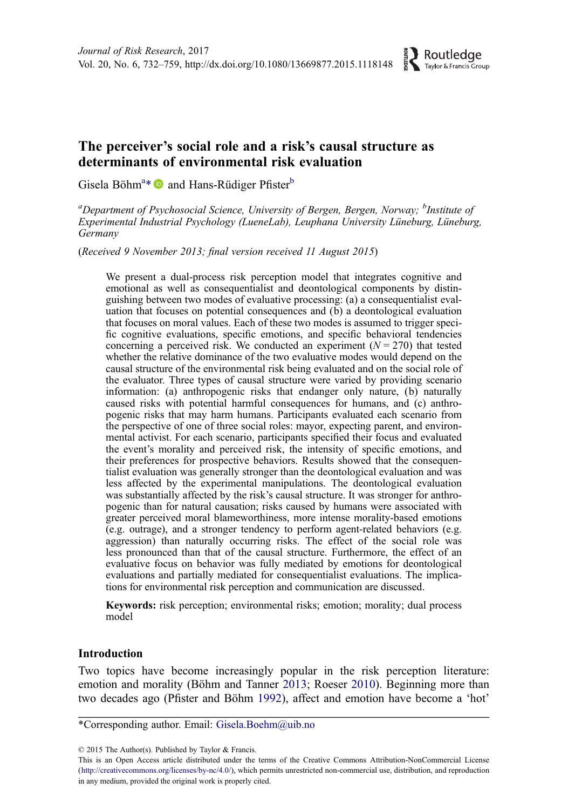

# The perceiver's social role and a risk's causal structure as determinants of environmental risk evaluation

Gisela Böhm<sup>a\*</sup> <sup>1</sup> and Hans-Rüdiger Pfister<sup>b</sup>

<sup>a</sup>Department of Psychosocial Science, University of Bergen, Bergen, Norway; <sup>b</sup>Institute oj Experimental Industrial Psychology (LueneLab), Leuphana University Lüneburg, Lüneburg, Germany

(Received 9 November 2013; final version received 11 August 2015)

We present a dual-process risk perception model that integrates cognitive and emotional as well as consequentialist and deontological components by distinguishing between two modes of evaluative processing: (a) a consequentialist evaluation that focuses on potential consequences and (b) a deontological evaluation that focuses on moral values. Each of these two modes is assumed to trigger specific cognitive evaluations, specific emotions, and specific behavioral tendencies concerning a perceived risk. We conducted an experiment  $(N = 270)$  that tested whether the relative dominance of the two evaluative modes would depend on the causal structure of the environmental risk being evaluated and on the social role of the evaluator. Three types of causal structure were varied by providing scenario information: (a) anthropogenic risks that endanger only nature, (b) naturally caused risks with potential harmful consequences for humans, and (c) anthropogenic risks that may harm humans. Participants evaluated each scenario from the perspective of one of three social roles: mayor, expecting parent, and environmental activist. For each scenario, participants specified their focus and evaluated the event's morality and perceived risk, the intensity of specific emotions, and their preferences for prospective behaviors. Results showed that the consequentialist evaluation was generally stronger than the deontological evaluation and was less affected by the experimental manipulations. The deontological evaluation was substantially affected by the risk's causal structure. It was stronger for anthropogenic than for natural causation; risks caused by humans were associated with greater perceived moral blameworthiness, more intense morality-based emotions (e.g. outrage), and a stronger tendency to perform agent-related behaviors (e.g. aggression) than naturally occurring risks. The effect of the social role was less pronounced than that of the causal structure. Furthermore, the effect of an evaluative focus on behavior was fully mediated by emotions for deontological evaluations and partially mediated for consequentialist evaluations. The implications for environmental risk perception and communication are discussed.

Keywords: risk perception; environmental risks; emotion; morality; dual process model

### Introduction

Two topics have become increasingly popular in the risk perception literature: emotion and morality (Böhm and Tanner [2013;](#page-26-0) Roeser [2010](#page-27-0)). Beginning more than two decades ago (Pfister and Böhm [1992\)](#page-27-0), affect and emotion have become a 'hot'

<sup>\*</sup>Corresponding author. Email: [Gisela.Boehm@uib.no](mailto:Gisela.Boehm@uib.no)

<sup>© 2015</sup> The Author(s). Published by Taylor & Francis.

This is an Open Access article distributed under the terms of the Creative Commons Attribution-NonCommercial License [\(http://creativecommons.org/licenses/by-nc/4.0/\)](http://creativecommons.org/licenses/by-nc/4.0/), which permits unrestricted non-commercial use, distribution, and reproduction in any medium, provided the original work is properly cited.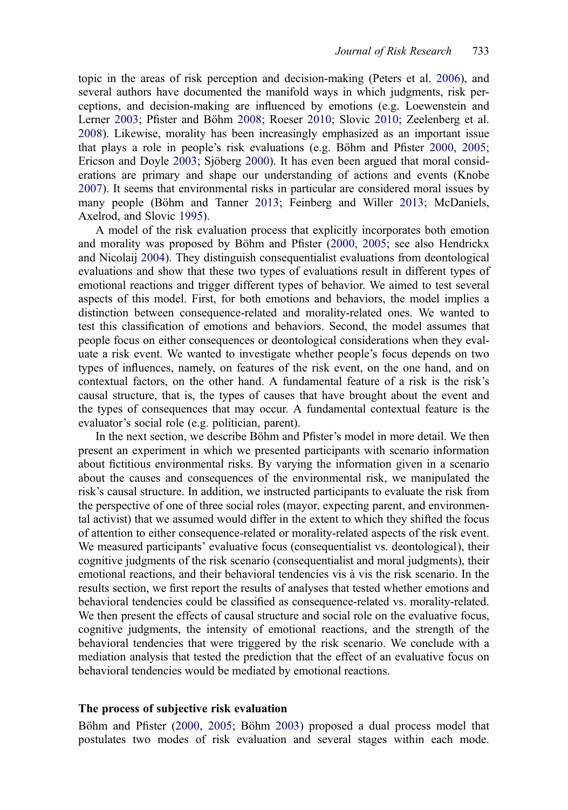topic in the areas of risk perception and decision-making (Peters et al. [2006\)](#page-27-0), and several authors have documented the manifold ways in which judgments, risk perceptions, and decision-making are influenced by emotions (e.g. Loewenstein and Lerner [2003](#page-27-0); Pfister and Böhm [2008](#page-27-0); Roeser [2010;](#page-27-0) Slovic [2010](#page-27-0); Zeelenberg et al. [2008\)](#page-28-0). Likewise, morality has been increasingly emphasized as an important issue that plays a role in people's risk evaluations (e.g. Böhm and Pfister [2000, 2005](#page-26-0); Ericson and Doyle [2003](#page-26-0); Sjöberg [2000](#page-27-0)). It has even been argued that moral considerations are primary and shape our understanding of actions and events (Knobe [2007\)](#page-26-0). It seems that environmental risks in particular are considered moral issues by many people (Böhm and Tanner [2013;](#page-26-0) Feinberg and Willer [2013](#page-26-0); McDaniels, Axelrod, and Slovic [1995](#page-27-0)).

A model of the risk evaluation process that explicitly incorporates both emotion and morality was proposed by Böhm and Pfister [\(2000](#page-26-0), [2005;](#page-26-0) see also Hendrickx and Nicolaij [2004](#page-26-0)). They distinguish consequentialist evaluations from deontological evaluations and show that these two types of evaluations result in different types of emotional reactions and trigger different types of behavior. We aimed to test several aspects of this model. First, for both emotions and behaviors, the model implies a distinction between consequence-related and morality-related ones. We wanted to test this classification of emotions and behaviors. Second, the model assumes that people focus on either consequences or deontological considerations when they evaluate a risk event. We wanted to investigate whether people's focus depends on two types of influences, namely, on features of the risk event, on the one hand, and on contextual factors, on the other hand. A fundamental feature of a risk is the risk's causal structure, that is, the types of causes that have brought about the event and the types of consequences that may occur. A fundamental contextual feature is the evaluator's social role (e.g. politician, parent).

In the next section, we describe Böhm and Pfister's model in more detail. We then present an experiment in which we presented participants with scenario information about fictitious environmental risks. By varying the information given in a scenario about the causes and consequences of the environmental risk, we manipulated the risk's causal structure. In addition, we instructed participants to evaluate the risk from the perspective of one of three social roles (mayor, expecting parent, and environmental activist) that we assumed would differ in the extent to which they shifted the focus of attention to either consequence-related or morality-related aspects of the risk event. We measured participants' evaluative focus (consequentialist vs. deontological), their cognitive judgments of the risk scenario (consequentialist and moral judgments), their emotional reactions, and their behavioral tendencies vis à vis the risk scenario. In the results section, we first report the results of analyses that tested whether emotions and behavioral tendencies could be classified as consequence-related vs. morality-related. We then present the effects of causal structure and social role on the evaluative focus, cognitive judgments, the intensity of emotional reactions, and the strength of the behavioral tendencies that were triggered by the risk scenario. We conclude with a mediation analysis that tested the prediction that the effect of an evaluative focus on behavioral tendencies would be mediated by emotional reactions.

#### The process of subjective risk evaluation

Böhm and Pfister ([2000](#page-26-0), [2005;](#page-26-0) Böhm [2003](#page-25-0)) proposed a dual process model that postulates two modes of risk evaluation and several stages within each mode.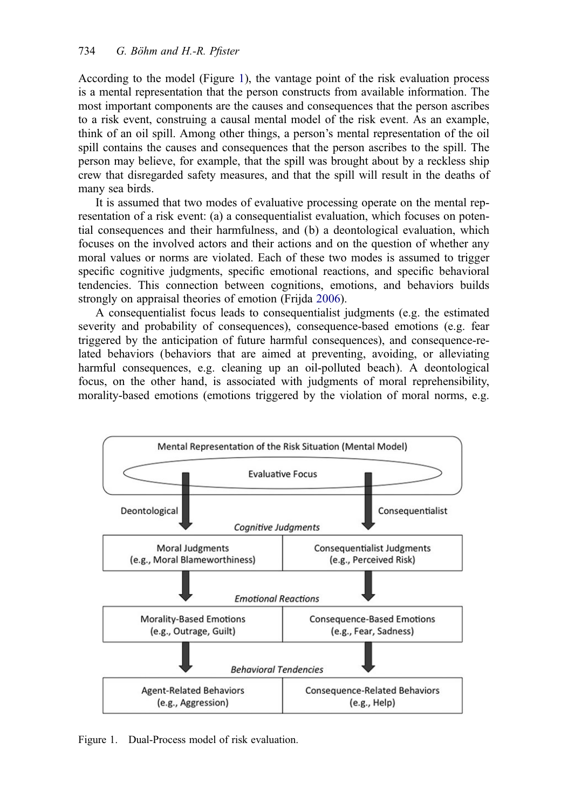<span id="page-4-0"></span>According to the model (Figure 1), the vantage point of the risk evaluation process is a mental representation that the person constructs from available information. The most important components are the causes and consequences that the person ascribes to a risk event, construing a causal mental model of the risk event. As an example, think of an oil spill. Among other things, a person's mental representation of the oil spill contains the causes and consequences that the person ascribes to the spill. The person may believe, for example, that the spill was brought about by a reckless ship crew that disregarded safety measures, and that the spill will result in the deaths of many sea birds.

It is assumed that two modes of evaluative processing operate on the mental representation of a risk event: (a) a consequentialist evaluation, which focuses on potential consequences and their harmfulness, and (b) a deontological evaluation, which focuses on the involved actors and their actions and on the question of whether any moral values or norms are violated. Each of these two modes is assumed to trigger specific cognitive judgments, specific emotional reactions, and specific behavioral tendencies. This connection between cognitions, emotions, and behaviors builds strongly on appraisal theories of emotion (Frijda [2006\)](#page-26-0).

A consequentialist focus leads to consequentialist judgments (e.g. the estimated severity and probability of consequences), consequence-based emotions (e.g. fear triggered by the anticipation of future harmful consequences), and consequence-related behaviors (behaviors that are aimed at preventing, avoiding, or alleviating harmful consequences, e.g. cleaning up an oil-polluted beach). A deontological focus, on the other hand, is associated with judgments of moral reprehensibility, morality-based emotions (emotions triggered by the violation of moral norms, e.g.



Figure 1. Dual-Process model of risk evaluation.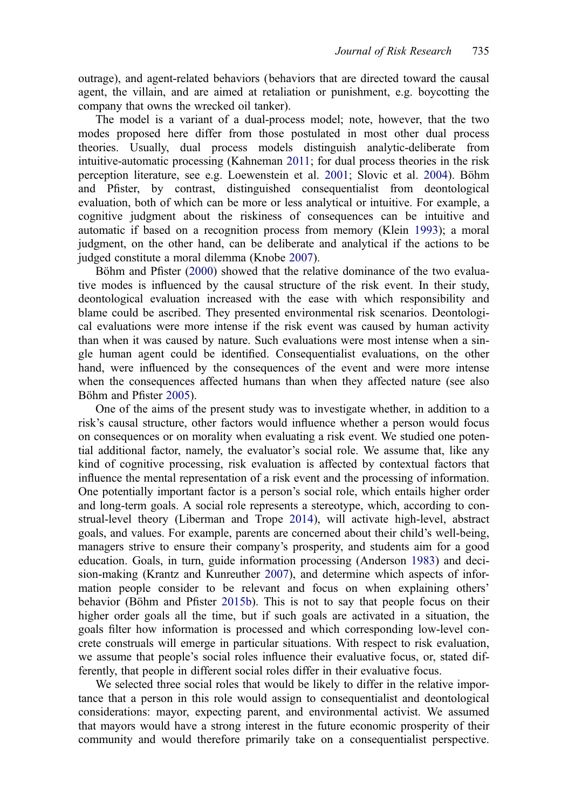outrage), and agent-related behaviors (behaviors that are directed toward the causal agent, the villain, and are aimed at retaliation or punishment, e.g. boycotting the company that owns the wrecked oil tanker).

The model is a variant of a dual-process model; note, however, that the two modes proposed here differ from those postulated in most other dual process theories. Usually, dual process models distinguish analytic-deliberate from intuitive-automatic processing (Kahneman [2011;](#page-26-0) for dual process theories in the risk perception literature, see e.g. Loewenstein et al. [2001](#page-27-0); Slovic et al. [2004](#page-27-0)). Böhm and Pfister, by contrast, distinguished consequentialist from deontological evaluation, both of which can be more or less analytical or intuitive. For example, a cognitive judgment about the riskiness of consequences can be intuitive and automatic if based on a recognition process from memory (Klein [1993\)](#page-26-0); a moral judgment, on the other hand, can be deliberate and analytical if the actions to be judged constitute a moral dilemma (Knobe [2007](#page-26-0)).

Böhm and Pfister [\(2000](#page-26-0)) showed that the relative dominance of the two evaluative modes is influenced by the causal structure of the risk event. In their study, deontological evaluation increased with the ease with which responsibility and blame could be ascribed. They presented environmental risk scenarios. Deontological evaluations were more intense if the risk event was caused by human activity than when it was caused by nature. Such evaluations were most intense when a single human agent could be identified. Consequentialist evaluations, on the other hand, were influenced by the consequences of the event and were more intense when the consequences affected humans than when they affected nature (see also Böhm and Pfister [2005](#page-26-0)).

One of the aims of the present study was to investigate whether, in addition to a risk's causal structure, other factors would influence whether a person would focus on consequences or on morality when evaluating a risk event. We studied one potential additional factor, namely, the evaluator's social role. We assume that, like any kind of cognitive processing, risk evaluation is affected by contextual factors that influence the mental representation of a risk event and the processing of information. One potentially important factor is a person's social role, which entails higher order and long-term goals. A social role represents a stereotype, which, according to construal-level theory (Liberman and Trope [2014](#page-27-0)), will activate high-level, abstract goals, and values. For example, parents are concerned about their child's well-being, managers strive to ensure their company's prosperity, and students aim for a good education. Goals, in turn, guide information processing (Anderson [1983](#page-25-0)) and decision-making (Krantz and Kunreuther [2007\)](#page-26-0), and determine which aspects of information people consider to be relevant and focus on when explaining others' behavior (Böhm and Pfister [2015b\)](#page-26-0). This is not to say that people focus on their higher order goals all the time, but if such goals are activated in a situation, the goals filter how information is processed and which corresponding low-level concrete construals will emerge in particular situations. With respect to risk evaluation, we assume that people's social roles influence their evaluative focus, or, stated differently, that people in different social roles differ in their evaluative focus.

We selected three social roles that would be likely to differ in the relative importance that a person in this role would assign to consequentialist and deontological considerations: mayor, expecting parent, and environmental activist. We assumed that mayors would have a strong interest in the future economic prosperity of their community and would therefore primarily take on a consequentialist perspective.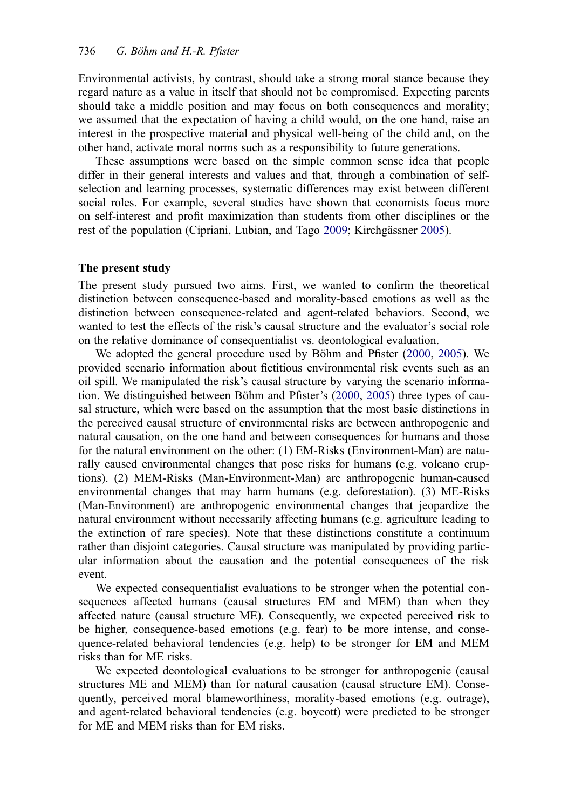Environmental activists, by contrast, should take a strong moral stance because they regard nature as a value in itself that should not be compromised. Expecting parents should take a middle position and may focus on both consequences and morality; we assumed that the expectation of having a child would, on the one hand, raise an interest in the prospective material and physical well-being of the child and, on the other hand, activate moral norms such as a responsibility to future generations.

These assumptions were based on the simple common sense idea that people differ in their general interests and values and that, through a combination of selfselection and learning processes, systematic differences may exist between different social roles. For example, several studies have shown that economists focus more on self-interest and profit maximization than students from other disciplines or the rest of the population (Cipriani, Lubian, and Tago [2009](#page-26-0); Kirchgässner [2005\)](#page-26-0).

# The present study

The present study pursued two aims. First, we wanted to confirm the theoretical distinction between consequence-based and morality-based emotions as well as the distinction between consequence-related and agent-related behaviors. Second, we wanted to test the effects of the risk's causal structure and the evaluator's social role on the relative dominance of consequentialist vs. deontological evaluation.

We adopted the general procedure used by Böhm and Pfister [\(2000](#page-26-0), [2005\)](#page-26-0). We provided scenario information about fictitious environmental risk events such as an oil spill. We manipulated the risk's causal structure by varying the scenario information. We distinguished between Böhm and Pfister's ([2000](#page-26-0), [2005](#page-26-0)) three types of causal structure, which were based on the assumption that the most basic distinctions in the perceived causal structure of environmental risks are between anthropogenic and natural causation, on the one hand and between consequences for humans and those for the natural environment on the other: (1) EM-Risks (Environment-Man) are naturally caused environmental changes that pose risks for humans (e.g. volcano eruptions). (2) MEM-Risks (Man-Environment-Man) are anthropogenic human-caused environmental changes that may harm humans (e.g. deforestation). (3) ME-Risks (Man-Environment) are anthropogenic environmental changes that jeopardize the natural environment without necessarily affecting humans (e.g. agriculture leading to the extinction of rare species). Note that these distinctions constitute a continuum rather than disjoint categories. Causal structure was manipulated by providing particular information about the causation and the potential consequences of the risk event.

We expected consequentialist evaluations to be stronger when the potential consequences affected humans (causal structures EM and MEM) than when they affected nature (causal structure ME). Consequently, we expected perceived risk to be higher, consequence-based emotions (e.g. fear) to be more intense, and consequence-related behavioral tendencies (e.g. help) to be stronger for EM and MEM risks than for ME risks.

We expected deontological evaluations to be stronger for anthropogenic (causal structures ME and MEM) than for natural causation (causal structure EM). Consequently, perceived moral blameworthiness, morality-based emotions (e.g. outrage), and agent-related behavioral tendencies (e.g. boycott) were predicted to be stronger for ME and MEM risks than for EM risks.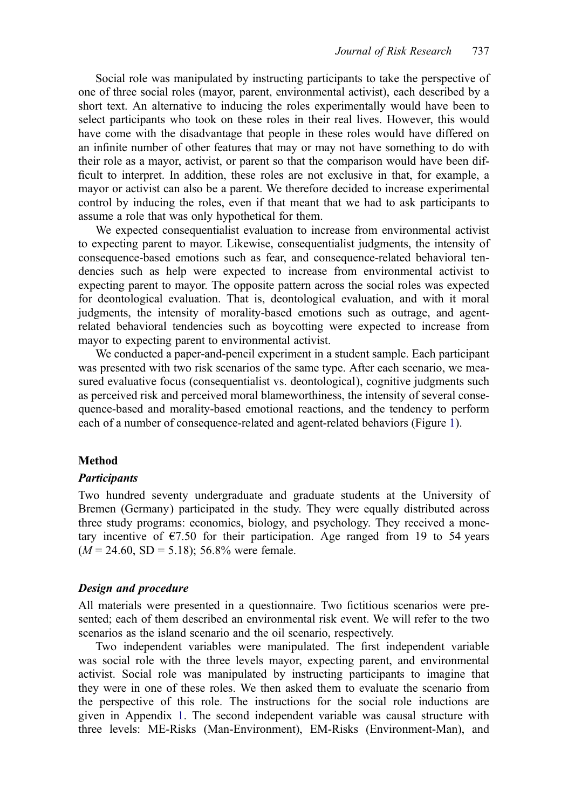Social role was manipulated by instructing participants to take the perspective of one of three social roles (mayor, parent, environmental activist), each described by a short text. An alternative to inducing the roles experimentally would have been to select participants who took on these roles in their real lives. However, this would have come with the disadvantage that people in these roles would have differed on an infinite number of other features that may or may not have something to do with their role as a mayor, activist, or parent so that the comparison would have been difficult to interpret. In addition, these roles are not exclusive in that, for example, a mayor or activist can also be a parent. We therefore decided to increase experimental control by inducing the roles, even if that meant that we had to ask participants to assume a role that was only hypothetical for them.

We expected consequentialist evaluation to increase from environmental activist to expecting parent to mayor. Likewise, consequentialist judgments, the intensity of consequence-based emotions such as fear, and consequence-related behavioral tendencies such as help were expected to increase from environmental activist to expecting parent to mayor. The opposite pattern across the social roles was expected for deontological evaluation. That is, deontological evaluation, and with it moral judgments, the intensity of morality-based emotions such as outrage, and agentrelated behavioral tendencies such as boycotting were expected to increase from mayor to expecting parent to environmental activist.

We conducted a paper-and-pencil experiment in a student sample. Each participant was presented with two risk scenarios of the same type. After each scenario, we measured evaluative focus (consequentialist vs. deontological), cognitive judgments such as perceived risk and perceived moral blameworthiness, the intensity of several consequence-based and morality-based emotional reactions, and the tendency to perform each of a number of consequence-related and agent-related behaviors (Figure [1\)](#page-4-0).

## Method

#### Participants

Two hundred seventy undergraduate and graduate students at the University of Bremen (Germany) participated in the study. They were equally distributed across three study programs: economics, biology, and psychology. They received a monetary incentive of  $\epsilon$ 7.50 for their participation. Age ranged from 19 to 54 years  $(M = 24.60, SD = 5.18)$ ; 56.8% were female.

## Design and procedure

All materials were presented in a questionnaire. Two fictitious scenarios were presented; each of them described an environmental risk event. We will refer to the two scenarios as the island scenario and the oil scenario, respectively.

Two independent variables were manipulated. The first independent variable was social role with the three levels mayor, expecting parent, and environmental activist. Social role was manipulated by instructing participants to imagine that they were in one of these roles. We then asked them to evaluate the scenario from the perspective of this role. The instructions for the social role inductions are given in Appendix [1.](#page-28-0) The second independent variable was causal structure with three levels: ME-Risks (Man-Environment), EM-Risks (Environment-Man), and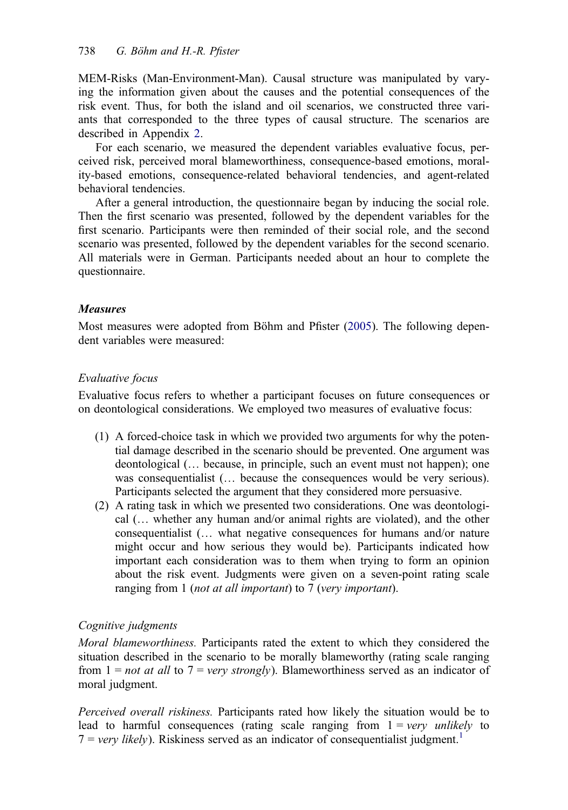MEM-Risks (Man-Environment-Man). Causal structure was manipulated by varying the information given about the causes and the potential consequences of the risk event. Thus, for both the island and oil scenarios, we constructed three variants that corresponded to the three types of causal structure. The scenarios are described in Appendix [2.](#page-28-0)

For each scenario, we measured the dependent variables evaluative focus, perceived risk, perceived moral blameworthiness, consequence-based emotions, morality-based emotions, consequence-related behavioral tendencies, and agent-related behavioral tendencies.

After a general introduction, the questionnaire began by inducing the social role. Then the first scenario was presented, followed by the dependent variables for the first scenario. Participants were then reminded of their social role, and the second scenario was presented, followed by the dependent variables for the second scenario. All materials were in German. Participants needed about an hour to complete the questionnaire.

# **Measures**

Most measures were adopted from Böhm and Pfister [\(2005\)](#page-26-0). The following dependent variables were measured:

# Evaluative focus

Evaluative focus refers to whether a participant focuses on future consequences or on deontological considerations. We employed two measures of evaluative focus:

- (1) A forced-choice task in which we provided two arguments for why the potential damage described in the scenario should be prevented. One argument was deontological (… because, in principle, such an event must not happen); one was consequentialist (… because the consequences would be very serious). Participants selected the argument that they considered more persuasive.
- (2) A rating task in which we presented two considerations. One was deontological (… whether any human and/or animal rights are violated), and the other consequentialist (… what negative consequences for humans and/or nature might occur and how serious they would be). Participants indicated how important each consideration was to them when trying to form an opinion about the risk event. Judgments were given on a seven-point rating scale ranging from 1 (not at all important) to 7 (very important).

# Cognitive judgments

Moral blameworthiness. Participants rated the extent to which they considered the situation described in the scenario to be morally blameworthy (rating scale ranging from  $1 = not$  at all to  $7 = very \, strongly$ ). Blameworthiness served as an indicator of moral judgment.

Perceived overall riskiness. Participants rated how likely the situation would be to lead to harmful consequences (rating scale ranging from  $1 = \text{very}$  unlikely to  $7 = \text{very likely}$ . Riskiness served as an indicator of consequentialist judgment.<sup>[1](#page-25-0)</sup>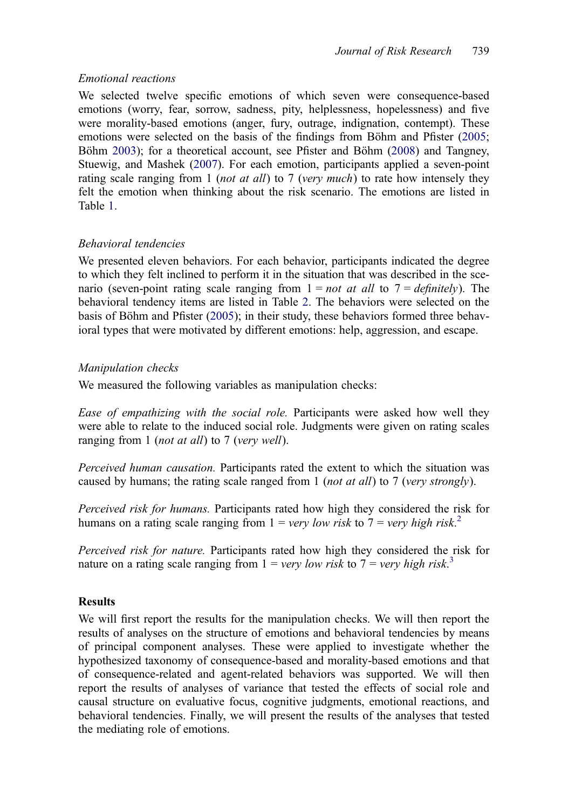# Emotional reactions

We selected twelve specific emotions of which seven were consequence-based emotions (worry, fear, sorrow, sadness, pity, helplessness, hopelessness) and five were morality-based emotions (anger, fury, outrage, indignation, contempt). These emotions were selected on the basis of the findings from Böhm and Pfister [\(2005](#page-26-0); Böhm [2003\)](#page-25-0); for a theoretical account, see Pfister and Böhm [\(2008\)](#page-27-0) and Tangney, Stuewig, and Mashek [\(2007](#page-27-0)). For each emotion, participants applied a seven-point rating scale ranging from 1 (not at all) to 7 (very much) to rate how intensely they felt the emotion when thinking about the risk scenario. The emotions are listed in Table [1](#page-10-0).

# Behavioral tendencies

We presented eleven behaviors. For each behavior, participants indicated the degree to which they felt inclined to perform it in the situation that was described in the scenario (seven-point rating scale ranging from  $1 = not$  at all to  $7 = \text{definitely}$ ). The behavioral tendency items are listed in Table [2.](#page-11-0) The behaviors were selected on the basis of Böhm and Pfister ([2005](#page-26-0)); in their study, these behaviors formed three behavioral types that were motivated by different emotions: help, aggression, and escape.

# Manipulation checks

We measured the following variables as manipulation checks:

Ease of empathizing with the social role. Participants were asked how well they were able to relate to the induced social role. Judgments were given on rating scales ranging from 1 (*not at all*) to 7 (*very well*).

Perceived human causation. Participants rated the extent to which the situation was caused by humans; the rating scale ranged from 1 (not at all) to 7 (very strongly).

Perceived risk for humans. Participants rated how high they considered the risk for humans on a rating scale ranging from  $1 = \text{very low risk}$  to  $7 = \text{very high risk}$ <sup>[2](#page-25-0)</sup>

Perceived risk for nature. Participants rated how high they considered the risk for nature on a rating scale ranging from  $1 = \text{very low risk}$  to  $7 = \text{very high risk}$ <sup>[3](#page-25-0)</sup>

# Results

We will first report the results for the manipulation checks. We will then report the results of analyses on the structure of emotions and behavioral tendencies by means of principal component analyses. These were applied to investigate whether the hypothesized taxonomy of consequence-based and morality-based emotions and that of consequence-related and agent-related behaviors was supported. We will then report the results of analyses of variance that tested the effects of social role and causal structure on evaluative focus, cognitive judgments, emotional reactions, and behavioral tendencies. Finally, we will present the results of the analyses that tested the mediating role of emotions.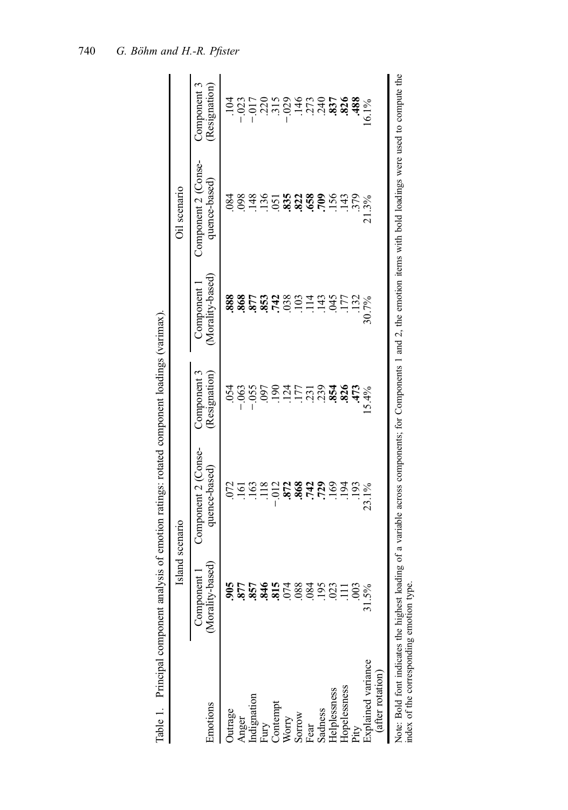<span id="page-10-0"></span>

|                                        |                                 | Island scenario                      |                              |                             | Oil scenario                                                                                                                                                            |                                                                                                                                          |
|----------------------------------------|---------------------------------|--------------------------------------|------------------------------|-----------------------------|-------------------------------------------------------------------------------------------------------------------------------------------------------------------------|------------------------------------------------------------------------------------------------------------------------------------------|
| Emotions                               | (Morality-based)<br>Component 1 | Component 2 (Conse-<br>quence-based) | $Component$ 3<br>Resignation | Morality-based<br>Component | Component 2 (Conse-<br>quence-based)                                                                                                                                    | $Component$ 3<br>(Resignation)                                                                                                           |
| Jutrage                                | $\frac{50}{6}$                  |                                      | .054                         |                             |                                                                                                                                                                         | .104                                                                                                                                     |
| Anger                                  |                                 |                                      |                              |                             |                                                                                                                                                                         |                                                                                                                                          |
|                                        |                                 | $07502$<br>$-1502$                   | $-063$<br>$-055$             |                             |                                                                                                                                                                         |                                                                                                                                          |
| Indignation<br>Fury<br>Contempt        | 8.8880000                       |                                      |                              |                             | 888758886.                                                                                                                                                              |                                                                                                                                          |
|                                        |                                 |                                      |                              |                             |                                                                                                                                                                         |                                                                                                                                          |
|                                        |                                 |                                      |                              |                             |                                                                                                                                                                         |                                                                                                                                          |
| Worry<br>Sorrow<br>Fear                |                                 |                                      |                              |                             |                                                                                                                                                                         |                                                                                                                                          |
|                                        |                                 |                                      |                              |                             |                                                                                                                                                                         |                                                                                                                                          |
|                                        | .195                            |                                      |                              |                             |                                                                                                                                                                         |                                                                                                                                          |
| Sadness<br>Helplessness                | .023                            | $\frac{588770}{289920}$              | 0.00477008                   | 88656985951436              | .156                                                                                                                                                                    | $-123$<br>$-123$<br>$-123$<br>$-123$<br>$-123$<br>$-123$<br>$-123$<br>$-123$<br>$-123$<br>$-123$<br>$-123$<br>$-123$<br>$-123$<br>$-123$ |
| Hopelessness                           | $\Xi$                           | $\overline{5}$                       | .826                         | .177                        | .143                                                                                                                                                                    |                                                                                                                                          |
| Pity                                   | $\overline{0}$                  | .193                                 | .473                         | .132                        | .379                                                                                                                                                                    |                                                                                                                                          |
| Explained variance<br>(after rotation) | 31.5%                           | 23.1%                                | 15.4%                        | 30.7%                       | 21.3%                                                                                                                                                                   | $6.1\%$                                                                                                                                  |
|                                        |                                 |                                      |                              |                             | Note: Pold foot indicate the highest logic of a vericle over a commonwere one of the process of the product in the production in a discovered to a month to a common to |                                                                                                                                          |

| i<br>l<br>֠                                                                                                                                                                                                                                                                                                                                                                                   |
|-----------------------------------------------------------------------------------------------------------------------------------------------------------------------------------------------------------------------------------------------------------------------------------------------------------------------------------------------------------------------------------------------|
| į                                                                                                                                                                                                                                                                                                                                                                                             |
|                                                                                                                                                                                                                                                                                                                                                                                               |
|                                                                                                                                                                                                                                                                                                                                                                                               |
| $\begin{bmatrix} 1 & 0 & 0 \\ 0 & 1 & 0 \\ 0 & 0 & 0 \end{bmatrix} \begin{bmatrix} 1 & 0 & 0 \\ 0 & 1 & 0 \\ 0 & 0 & 0 \end{bmatrix} \begin{bmatrix} 1 & 0 & 0 \\ 0 & 1 & 0 \\ 0 & 0 & 0 \end{bmatrix} \begin{bmatrix} 1 & 0 & 0 \\ 0 & 1 & 0 \\ 0 & 0 & 0 \end{bmatrix} \begin{bmatrix} 1 & 0 & 0 \\ 0 & 1 & 0 \\ 0 & 0 & 0 \end{bmatrix} \begin{bmatrix} 1 & 0 & 0 \\ 0 & 1 & 0 \\ 0 & 0 &$ |
| í                                                                                                                                                                                                                                                                                                                                                                                             |
|                                                                                                                                                                                                                                                                                                                                                                                               |
| $\sim$<br>$\overline{a}$<br>$\frac{1}{2}$                                                                                                                                                                                                                                                                                                                                                     |
| i                                                                                                                                                                                                                                                                                                                                                                                             |
| ;<br>;<br>l<br>$\vdots$<br>ו<br>ו<br>֚֘֝                                                                                                                                                                                                                                                                                                                                                      |
| ï<br>Tahlı<br>ı<br>è<br>ı                                                                                                                                                                                                                                                                                                                                                                     |

Note: Bold font indicates the highest loading of a variable across components; for Components 1 and 2, the emotion items with bold loadings were used to compute the index of the corresponding emotion type. Note: Bold font indicates the highest loading of a variable across components; for Components 1 and 2, the emotion items with bold loadings were used to compute the index of the corresponding emotion type.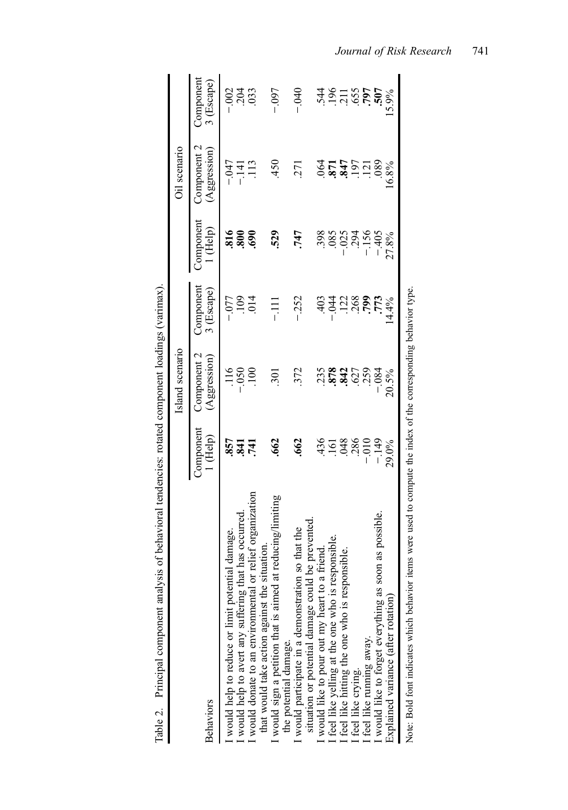<span id="page-11-0"></span>

|                                                                                                       |                             | Island scenario             |                               |                       | Oil scenario                |                        |
|-------------------------------------------------------------------------------------------------------|-----------------------------|-----------------------------|-------------------------------|-----------------------|-----------------------------|------------------------|
| <b>Behaviors</b>                                                                                      | <b>Componen</b><br>l (Help) | Component 2<br>(Aggression) | <b>Componen</b><br>i (Escape) | Component<br>l (Help) | Component 2<br>(Aggression) | Componen<br>3 (Escape) |
| would help to reduce or limit potential damage.                                                       | 857                         | 116                         | $-0.77$                       | 816                   | $-047$                      | .002                   |
| I would help to avert any suffering that has occurred                                                 | 841                         | $-0.050$                    | <b>.109</b>                   |                       | $-141$                      |                        |
| or relief organization<br>would donate to an environmental                                            | E <sub>7</sub>              | 100                         | 014                           | នីខ្ញុំ               | 113                         | $\frac{28}{3}$         |
| situation<br>that would take action against the                                                       |                             |                             |                               |                       |                             |                        |
| at reducing/limiting<br>I would sign a petition that is aimed<br>the potential damage.                | <b>662</b>                  | 301                         | $-111$                        | 529                   | 450                         | $-0.97$                |
| I would participate in a demonstration so that the                                                    | 662                         | 372                         | $-252$                        | 747                   | 271                         | $-0.040$               |
| situation or potential damage could be prevented                                                      |                             |                             |                               |                       |                             |                        |
| a friend<br>I would like to pour out my heart to                                                      | 436                         |                             | 403                           | 398                   | 064                         |                        |
|                                                                                                       | 161                         | $235$<br>878                | <u>त्र</u>                    | .085                  |                             |                        |
| I feel like yelling at the one who is responsible.<br>I feel like hitting the one who is responsible. | $^{048}$                    | 8427                        |                               | $-025$                | 847<br>7847<br>197          |                        |
| I feel like crying.                                                                                   | .286                        |                             | 128<br>13                     | .294                  |                             |                        |
| I feel like running away.                                                                             | $-0.010$                    | 259                         | 799                           | $-156$                | 121                         | $321850$<br>$4819550$  |
| soon as possible.<br>I would like to forget everything as                                             | $-149$                      | $-084$                      | .773                          | $-405$                | 089                         |                        |
| Explained variance (after rotation)                                                                   | $29.0\%$                    | 20.5%                       | 14.4%                         | 27.8%                 | $6.8\%$                     |                        |
|                                                                                                       |                             |                             |                               |                       |                             |                        |

Table 2. Principal component analysis of behavioral tendencies: rotated component loadings (varimax). Table 2. Principal component analysis of behavioral tendencies: rotated component loadings (varimax).

Note: Bold font indicates which behavior items were used to compute the index of the corresponding behavior type. Note: Bold font indicates which behavior items were used to compute the index of the corresponding behavior type.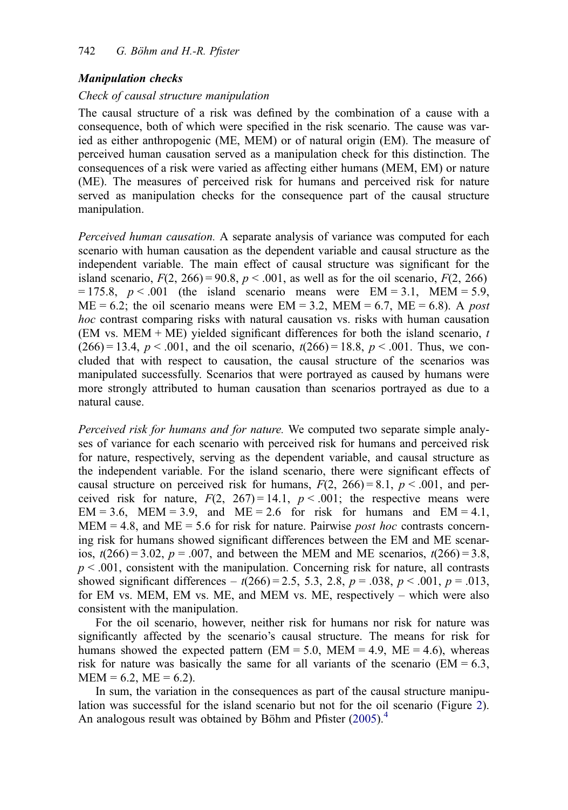# Manipulation checks

# Check of causal structure manipulation

The causal structure of a risk was defined by the combination of a cause with a consequence, both of which were specified in the risk scenario. The cause was varied as either anthropogenic (ME, MEM) or of natural origin (EM). The measure of perceived human causation served as a manipulation check for this distinction. The consequences of a risk were varied as affecting either humans (MEM, EM) or nature (ME). The measures of perceived risk for humans and perceived risk for nature served as manipulation checks for the consequence part of the causal structure manipulation.

Perceived human causation. A separate analysis of variance was computed for each scenario with human causation as the dependent variable and causal structure as the independent variable. The main effect of causal structure was significant for the island scenario,  $F(2, 266) = 90.8$ ,  $p < .001$ , as well as for the oil scenario,  $F(2, 266)$  $= 175.8$ ,  $p < .001$  (the island scenario means were EM = 3.1, MEM = 5.9,  $ME = 6.2$ ; the oil scenario means were  $EM = 3.2$ ,  $MEM = 6.7$ ,  $ME = 6.8$ ). A post hoc contrast comparing risks with natural causation vs. risks with human causation (EM vs. MEM + ME) yielded significant differences for both the island scenario,  $t$  $(266) = 13.4, p < .001$ , and the oil scenario,  $t(266) = 18.8, p < .001$ . Thus, we concluded that with respect to causation, the causal structure of the scenarios was manipulated successfully. Scenarios that were portrayed as caused by humans were more strongly attributed to human causation than scenarios portrayed as due to a natural cause.

Perceived risk for humans and for nature. We computed two separate simple analyses of variance for each scenario with perceived risk for humans and perceived risk for nature, respectively, serving as the dependent variable, and causal structure as the independent variable. For the island scenario, there were significant effects of causal structure on perceived risk for humans,  $F(2, 266) = 8.1$ ,  $p < .001$ , and perceived risk for nature,  $F(2, 267) = 14.1$ ,  $p < .001$ ; the respective means were  $EM = 3.6$ ,  $MEM = 3.9$ , and  $ME = 2.6$  for risk for humans and  $EM = 4.1$ ,  $MEM = 4.8$ , and  $ME = 5.6$  for risk for nature. Pairwise *post hoc* contrasts concerning risk for humans showed significant differences between the EM and ME scenarios,  $t(266) = 3.02$ ,  $p = .007$ , and between the MEM and ME scenarios,  $t(266) = 3.8$ ,  $p < .001$ , consistent with the manipulation. Concerning risk for nature, all contrasts showed significant differences –  $t(266) = 2.5, 5.3, 2.8, p = .038, p < .001, p = .013,$ for EM vs. MEM, EM vs. ME, and MEM vs. ME, respectively – which were also consistent with the manipulation.

For the oil scenario, however, neither risk for humans nor risk for nature was significantly affected by the scenario's causal structure. The means for risk for humans showed the expected pattern  $(EM = 5.0, MEM = 4.9, ME = 4.6)$ , whereas risk for nature was basically the same for all variants of the scenario  $(EM = 6.3, ...)$  $MEM = 6.2, ME = 6.2$ .

In sum, the variation in the consequences as part of the causal structure manipulation was successful for the island scenario but not for the oil scenario (Figure [2](#page-13-0)). An analogous result was obtained by Böhm and Pfister [\(2005](#page-26-0)).<sup>[4](#page-25-0)</sup>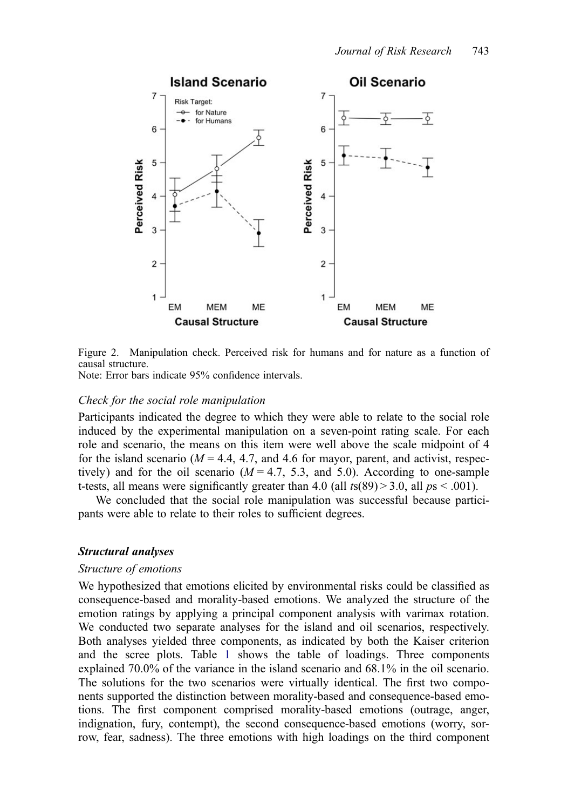<span id="page-13-0"></span>

Figure 2. Manipulation check. Perceived risk for humans and for nature as a function of causal structure.

Note: Error bars indicate 95% confidence intervals.

## Check for the social role manipulation

Participants indicated the degree to which they were able to relate to the social role induced by the experimental manipulation on a seven-point rating scale. For each role and scenario, the means on this item were well above the scale midpoint of 4 for the island scenario ( $M = 4.4, 4.7,$  and 4.6 for mayor, parent, and activist, respectively) and for the oil scenario ( $M = 4.7, 5.3,$  and 5.0). According to one-sample t-tests, all means were significantly greater than 4.0 (all  $ts(89) > 3.0$ , all  $ps < .001$ ).

We concluded that the social role manipulation was successful because participants were able to relate to their roles to sufficient degrees.

## Structural analyses

### Structure of emotions

We hypothesized that emotions elicited by environmental risks could be classified as consequence-based and morality-based emotions. We analyzed the structure of the emotion ratings by applying a principal component analysis with varimax rotation. We conducted two separate analyses for the island and oil scenarios, respectively. Both analyses yielded three components, as indicated by both the Kaiser criterion and the scree plots. Table [1](#page-10-0) shows the table of loadings. Three components explained 70.0% of the variance in the island scenario and 68.1% in the oil scenario. The solutions for the two scenarios were virtually identical. The first two components supported the distinction between morality-based and consequence-based emotions. The first component comprised morality-based emotions (outrage, anger, indignation, fury, contempt), the second consequence-based emotions (worry, sorrow, fear, sadness). The three emotions with high loadings on the third component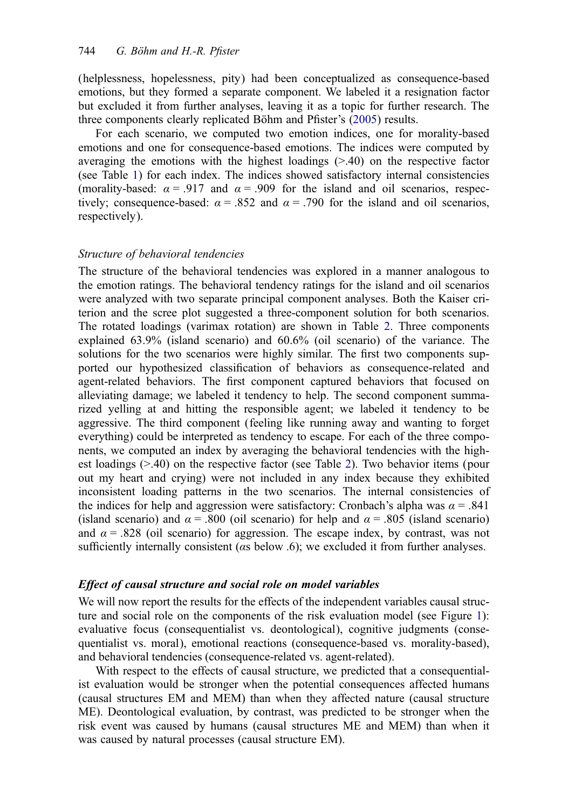(helplessness, hopelessness, pity) had been conceptualized as consequence-based emotions, but they formed a separate component. We labeled it a resignation factor but excluded it from further analyses, leaving it as a topic for further research. The three components clearly replicated Böhm and Pfister's ([2005\)](#page-26-0) results.

For each scenario, we computed two emotion indices, one for morality-based emotions and one for consequence-based emotions. The indices were computed by averaging the emotions with the highest loadings  $($ >.40) on the respective factor (see Table [1](#page-10-0)) for each index. The indices showed satisfactory internal consistencies (morality-based:  $\alpha$  = .917 and  $\alpha$  = .909 for the island and oil scenarios, respectively; consequence-based:  $\alpha = .852$  and  $\alpha = .790$  for the island and oil scenarios, respectively).

# Structure of behavioral tendencies

The structure of the behavioral tendencies was explored in a manner analogous to the emotion ratings. The behavioral tendency ratings for the island and oil scenarios were analyzed with two separate principal component analyses. Both the Kaiser criterion and the scree plot suggested a three-component solution for both scenarios. The rotated loadings (varimax rotation) are shown in Table [2.](#page-11-0) Three components explained 63.9% (island scenario) and 60.6% (oil scenario) of the variance. The solutions for the two scenarios were highly similar. The first two components supported our hypothesized classification of behaviors as consequence-related and agent-related behaviors. The first component captured behaviors that focused on alleviating damage; we labeled it tendency to help. The second component summarized yelling at and hitting the responsible agent; we labeled it tendency to be aggressive. The third component (feeling like running away and wanting to forget everything) could be interpreted as tendency to escape. For each of the three components, we computed an index by averaging the behavioral tendencies with the highest loadings (>.40) on the respective factor (see Table [2](#page-11-0)). Two behavior items (pour out my heart and crying) were not included in any index because they exhibited inconsistent loading patterns in the two scenarios. The internal consistencies of the indices for help and aggression were satisfactory: Cronbach's alpha was  $\alpha = .841$ (island scenario) and  $\alpha$  = .800 (oil scenario) for help and  $\alpha$  = .805 (island scenario) and  $\alpha$  = .828 (oil scenario) for aggression. The escape index, by contrast, was not sufficiently internally consistent (αs below .6); we excluded it from further analyses.

#### Effect of causal structure and social role on model variables

We will now report the results for the effects of the independent variables causal structure and social role on the components of the risk evaluation model (see Figure [1\)](#page-4-0): evaluative focus (consequentialist vs. deontological), cognitive judgments (consequentialist vs. moral), emotional reactions (consequence-based vs. morality-based), and behavioral tendencies (consequence-related vs. agent-related).

With respect to the effects of causal structure, we predicted that a consequentialist evaluation would be stronger when the potential consequences affected humans (causal structures EM and MEM) than when they affected nature (causal structure ME). Deontological evaluation, by contrast, was predicted to be stronger when the risk event was caused by humans (causal structures ME and MEM) than when it was caused by natural processes (causal structure EM).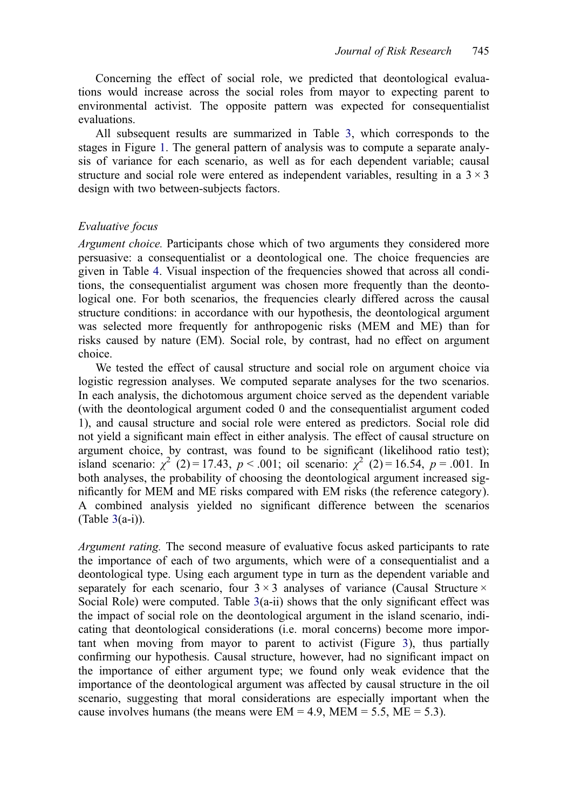Concerning the effect of social role, we predicted that deontological evaluations would increase across the social roles from mayor to expecting parent to environmental activist. The opposite pattern was expected for consequentialist evaluations.

All subsequent results are summarized in Table [3](#page-17-0), which corresponds to the stages in Figure [1.](#page-4-0) The general pattern of analysis was to compute a separate analysis of variance for each scenario, as well as for each dependent variable; causal structure and social role were entered as independent variables, resulting in a  $3 \times 3$ design with two between-subjects factors.

## Evaluative focus

Argument choice. Participants chose which of two arguments they considered more persuasive: a consequentialist or a deontological one. The choice frequencies are given in Table [4](#page-18-0). Visual inspection of the frequencies showed that across all conditions, the consequentialist argument was chosen more frequently than the deontological one. For both scenarios, the frequencies clearly differed across the causal structure conditions: in accordance with our hypothesis, the deontological argument was selected more frequently for anthropogenic risks (MEM and ME) than for risks caused by nature (EM). Social role, by contrast, had no effect on argument choice.

We tested the effect of causal structure and social role on argument choice via logistic regression analyses. We computed separate analyses for the two scenarios. In each analysis, the dichotomous argument choice served as the dependent variable (with the deontological argument coded 0 and the consequentialist argument coded 1), and causal structure and social role were entered as predictors. Social role did not yield a significant main effect in either analysis. The effect of causal structure on argument choice, by contrast, was found to be significant (likelihood ratio test); island scenario:  $\chi^2$  (2) = 17.43, p < .001; oil scenario:  $\chi^2$  (2) = 16.54, p = .001. In both analyses, the probability of choosing the deontological argument increased significantly for MEM and ME risks compared with EM risks (the reference category). A combined analysis yielded no significant difference between the scenarios (Table [3\(](#page-17-0)a-i)).

Argument rating. The second measure of evaluative focus asked participants to rate the importance of each of two arguments, which were of a consequentialist and a deontological type. Using each argument type in turn as the dependent variable and separately for each scenario, four  $3 \times 3$  analyses of variance (Causal Structure  $\times$ Social Role) were computed. Table  $3(a-i)$  $3(a-i)$  shows that the only significant effect was the impact of social role on the deontological argument in the island scenario, indicating that deontological considerations (i.e. moral concerns) become more important when moving from mayor to parent to activist (Figure [3\)](#page-16-0), thus partially confirming our hypothesis. Causal structure, however, had no significant impact on the importance of either argument type; we found only weak evidence that the importance of the deontological argument was affected by causal structure in the oil scenario, suggesting that moral considerations are especially important when the cause involves humans (the means were  $EM = 4.9$ ,  $MEM = 5.5$ ,  $ME = 5.3$ ).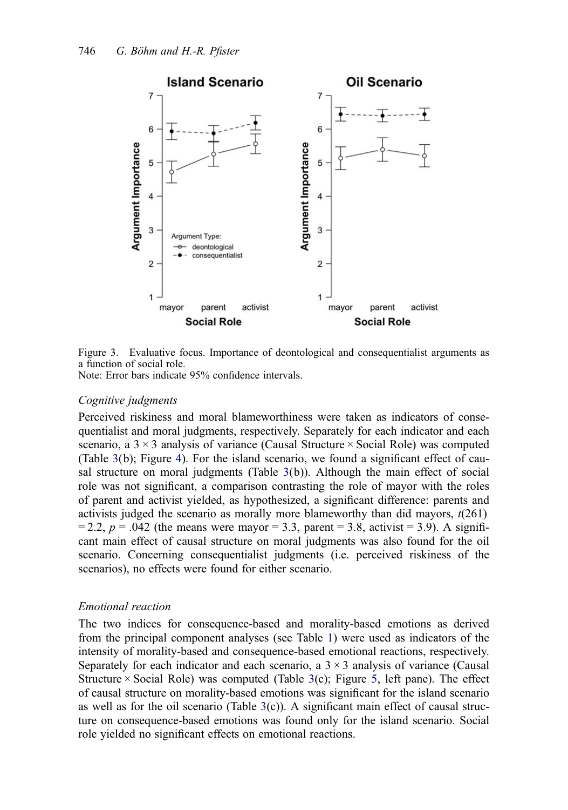<span id="page-16-0"></span>



Note: Error bars indicate 95% confidence intervals.

## Cognitive judgments

Perceived riskiness and moral blameworthiness were taken as indicators of consequentialist and moral judgments, respectively. Separately for each indicator and each scenario, a  $3 \times 3$  analysis of variance (Causal Structure  $\times$  Social Role) was computed (Table [3](#page-17-0)(b); Figure [4\)](#page-18-0). For the island scenario, we found a significant effect of causal structure on moral judgments (Table [3](#page-17-0)(b)). Although the main effect of social role was not significant, a comparison contrasting the role of mayor with the roles of parent and activist yielded, as hypothesized, a significant difference: parents and activists judged the scenario as morally more blameworthy than did mayors,  $t(261)$ = 2.2,  $p = .042$  (the means were mayor = 3.3, parent = 3.8, activist = 3.9). A significant main effect of causal structure on moral judgments was also found for the oil scenario. Concerning consequentialist judgments (i.e. perceived riskiness of the scenarios), no effects were found for either scenario.

#### Emotional reaction

The two indices for consequence-based and morality-based emotions as derived from the principal component analyses (see Table [1\)](#page-10-0) were used as indicators of the intensity of morality-based and consequence-based emotional reactions, respectively. Separately for each indicator and each scenario, a  $3 \times 3$  analysis of variance (Causal Structure  $\times$  Social Role) was computed (Table [3](#page-17-0)(c); Figure [5,](#page-19-0) left pane). The effect of causal structure on morality-based emotions was significant for the island scenario as well as for the oil scenario (Table  $3(c)$  $3(c)$ ). A significant main effect of causal structure on consequence-based emotions was found only for the island scenario. Social role yielded no significant effects on emotional reactions.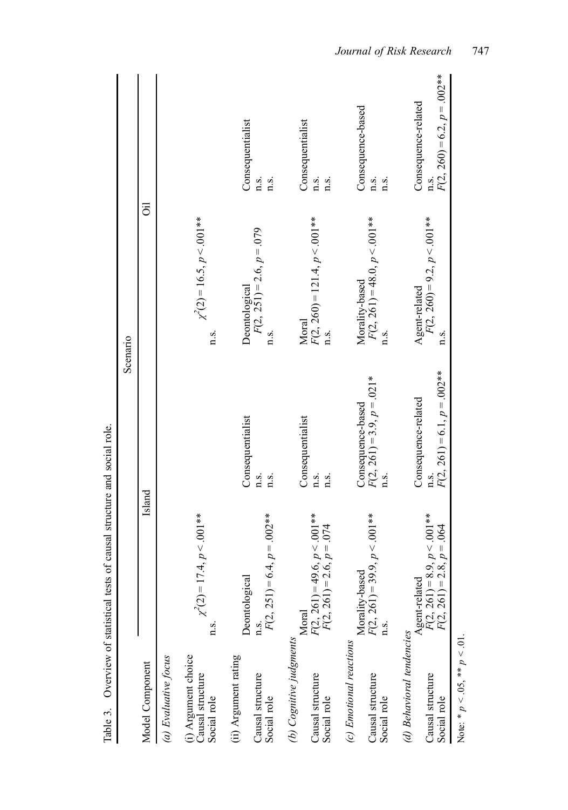<span id="page-17-0"></span>

|                                                        | Table 3. Overview of statistical tests of causal structure and social role. |                                                           |                                                          |                                       |
|--------------------------------------------------------|-----------------------------------------------------------------------------|-----------------------------------------------------------|----------------------------------------------------------|---------------------------------------|
|                                                        |                                                                             |                                                           | Scenario                                                 |                                       |
| Model Component                                        | Island                                                                      |                                                           | öÏ                                                       |                                       |
| (a) Evaluative focus                                   |                                                                             |                                                           |                                                          |                                       |
| (i) Argument choice<br>Causal structure<br>Social role | $\chi^2(2) = 17.4, p < .001**$<br>n.s.                                      |                                                           | $\chi^2(2) = 16.5, p < .001**$<br>n.s.                   |                                       |
| (ii) Argument rating                                   |                                                                             |                                                           | Deontological                                            |                                       |
| Causal structure<br>Social role                        | $F(2, 251) = 6.4, p = .002**$<br>Deontological<br>n.s.                      | Consequentialist<br>n.s.<br>n.S.                          | $F(2, 251)=2.6, p=.079$<br>n.s.                          | Consequentialist<br>n.s.<br>1.S.      |
| (b) Cognitive judgments                                | Moral                                                                       | Consequentialist                                          | Moral                                                    | Consequentialist                      |
| Causal structure<br>Social role                        | $F(2, 261) = 49.6, p < .001**$<br>$F(2, 261) = 2.6, p = .074$               | n.s.<br>n.s.                                              | $F(2, 260) = 121.4, p < .001**$<br>n.s.                  | n.s.<br>1.S.                          |
| (c) Emotional reactions                                |                                                                             |                                                           |                                                          |                                       |
| Causal structure<br>Social role                        | $F(2, 261) = 39.9, p < .001**$<br>Morality-based<br>n.s.                    | Consequence-based<br>$F(2, 261) = 3.9, p = .021*$<br>1.5. | Morality-based<br>$F(2, 261) = 48.0, p < .001**$<br>n.s. | Consequence-based<br>n.s.<br>n.s.     |
| (d) Behavioral tendencies                              | Agent-related                                                               | Consequence-related                                       | Agent-related                                            | Consequence-related                   |
| Causal structure<br>Social role                        | $F(2, 261) = 8.9, p < .001**$<br>$F(2, 261) = 2.8, p = .064$                | $F(2, 261) = 6.1, p = .002**$<br>n.s.                     | $F(2, 260) = 9.2, p < .001**$<br>n.s.                    | $F(2, 260) = 6.2, p = .002**$<br>1.5. |
| Note: * $p < .05$ , ** $p < .01$                       |                                                                             |                                                           |                                                          |                                       |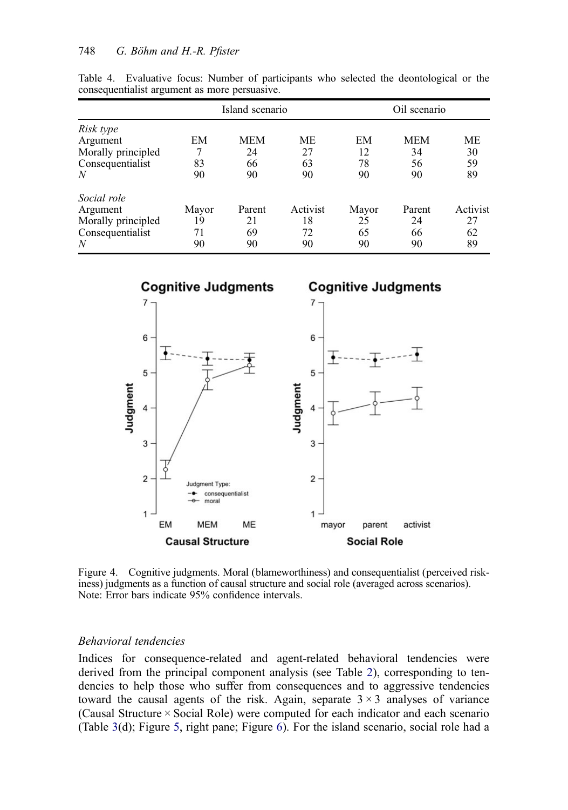|                    |       | Island scenario |          |       | Oil scenario |          |
|--------------------|-------|-----------------|----------|-------|--------------|----------|
| Risk type          |       |                 |          |       |              |          |
| Argument           | EM    | <b>MEM</b>      | МE       | EM    | <b>MEM</b>   | МE       |
| Morally principled | 7     | 24              | 27       | 12    | 34           | 30       |
| Consequentialist   | 83    | 66              | 63       | 78    | 56           | 59       |
| N                  | 90    | 90              | 90       | 90    | 90           | 89       |
| Social role        |       |                 |          |       |              |          |
| Argument           | Mayor | Parent          | Activist | Mayor | Parent       | Activist |
| Morally principled | 19    | 21              | 18       | 25    | 24           | 27       |
| Consequentialist   | 71    | 69              | 72       | 65    | 66           | 62       |
| N                  | 90    | 90              | 90       | 90    | 90           | 89       |

<span id="page-18-0"></span>Table 4. Evaluative focus: Number of participants who selected the deontological or the consequentialist argument as more persuasive.



Figure 4. Cognitive judgments. Moral (blameworthiness) and consequentialist (perceived riskiness) judgments as a function of causal structure and social role (averaged across scenarios). Note: Error bars indicate 95% confidence intervals.

### Behavioral tendencies

Indices for consequence-related and agent-related behavioral tendencies were derived from the principal component analysis (see Table [2\)](#page-11-0), corresponding to tendencies to help those who suffer from consequences and to aggressive tendencies toward the causal agents of the risk. Again, separate  $3 \times 3$  analyses of variance (Causal Structure × Social Role) were computed for each indicator and each scenario (Table [3\(](#page-17-0)d); Figure [5](#page-19-0), right pane; Figure [6](#page-19-0)). For the island scenario, social role had a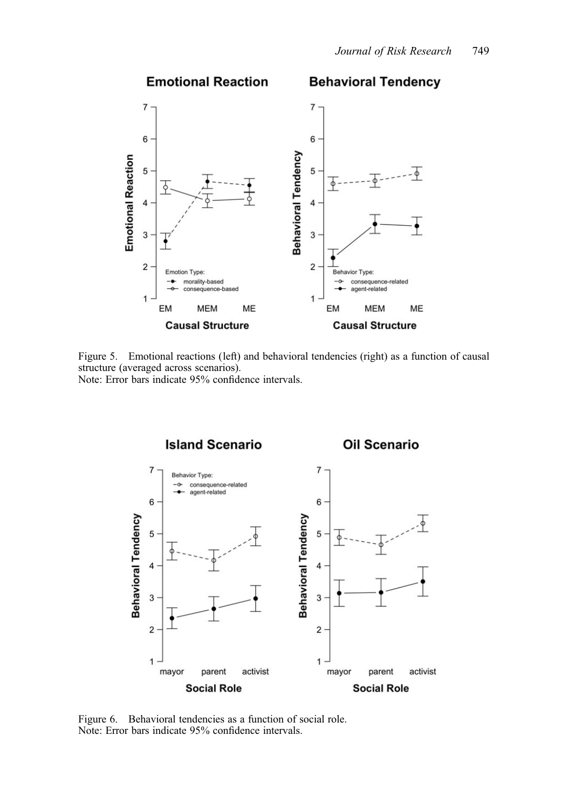<span id="page-19-0"></span>

Figure 5. Emotional reactions (left) and behavioral tendencies (right) as a function of causal structure (averaged across scenarios).

Note: Error bars indicate 95% confidence intervals.



Figure 6. Behavioral tendencies as a function of social role. Note: Error bars indicate 95% confidence intervals.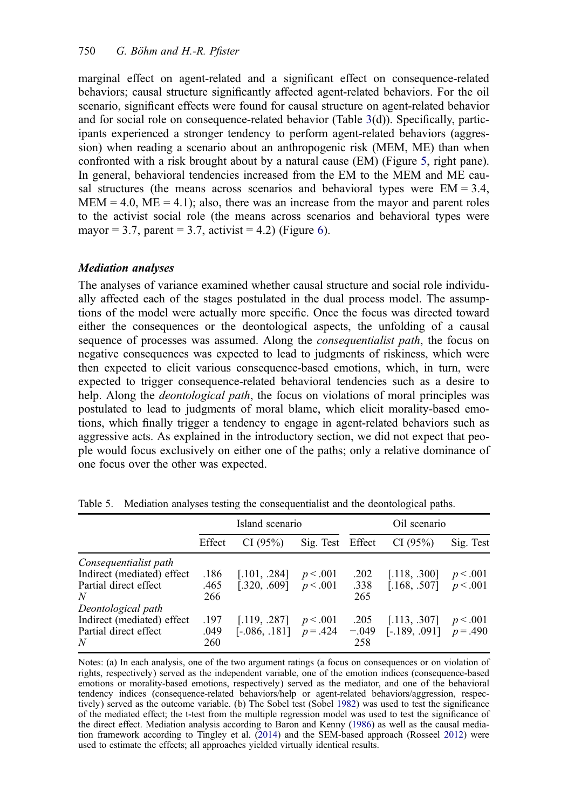<span id="page-20-0"></span>marginal effect on agent-related and a significant effect on consequence-related behaviors; causal structure significantly affected agent-related behaviors. For the oil scenario, significant effects were found for causal structure on agent-related behavior and for social role on consequence-related behavior (Table  $3(d)$  $3(d)$ ). Specifically, participants experienced a stronger tendency to perform agent-related behaviors (aggression) when reading a scenario about an anthropogenic risk (MEM, ME) than when confronted with a risk brought about by a natural cause (EM) (Figure [5,](#page-19-0) right pane). In general, behavioral tendencies increased from the EM to the MEM and ME causal structures (the means across scenarios and behavioral types were  $EM = 3.4$ ,  $MEM = 4.0, ME = 4.1$ ; also, there was an increase from the mayor and parent roles to the activist social role (the means across scenarios and behavioral types were mayor = 3.7, parent = 3.7, activist = 4.2) (Figure [6](#page-19-0)).

# Mediation analyses

The analyses of variance examined whether causal structure and social role individually affected each of the stages postulated in the dual process model. The assumptions of the model were actually more specific. Once the focus was directed toward either the consequences or the deontological aspects, the unfolding of a causal sequence of processes was assumed. Along the *consequentialist path*, the focus on negative consequences was expected to lead to judgments of riskiness, which were then expected to elicit various consequence-based emotions, which, in turn, were expected to trigger consequence-related behavioral tendencies such as a desire to help. Along the *deontological path*, the focus on violations of moral principles was postulated to lead to judgments of moral blame, which elicit morality-based emotions, which finally trigger a tendency to engage in agent-related behaviors such as aggressive acts. As explained in the introductory section, we did not expect that people would focus exclusively on either one of the paths; only a relative dominance of one focus over the other was expected.

|                            |        | Island scenario         |                  |      | Oil scenario                                                 |           |
|----------------------------|--------|-------------------------|------------------|------|--------------------------------------------------------------|-----------|
|                            | Effect | CI(95%)                 | Sig. Test Effect |      | CI(95%)                                                      | Sig. Test |
| Consequentialist path      |        |                         |                  |      |                                                              |           |
| Indirect (mediated) effect | .186   | [.101, .284]            | p < .001         | .202 | [.118, .300]                                                 | p < .001  |
| Partial direct effect      | .465   | [.320, .609] $p < .001$ |                  | .338 | [.168, .507] $p < .001$                                      |           |
| N                          | 266    |                         |                  | 265  |                                                              |           |
| Deontological path         |        |                         |                  |      |                                                              |           |
| Indirect (mediated) effect | .197   | [.119, .287]            | $p < .001$ .205  |      | [.113, .307]                                                 | p < .001  |
| Partial direct effect      | .049   |                         |                  |      | $[-.086, .181]$ $p = .424 - .049$ $[-.189, .091]$ $p = .490$ |           |
| N                          | 260    |                         |                  | 258  |                                                              |           |

Table 5. Mediation analyses testing the consequentialist and the deontological paths.

Notes: (a) In each analysis, one of the two argument ratings (a focus on consequences or on violation of rights, respectively) served as the independent variable, one of the emotion indices (consequence-based emotions or morality-based emotions, respectively) served as the mediator, and one of the behavioral tendency indices (consequence-related behaviors/help or agent-related behaviors/aggression, respectively) served as the outcome variable. (b) The Sobel test (Sobel [1982\)](#page-27-0) was used to test the significance of the mediated effect; the t-test from the multiple regression model was used to test the significance of the direct effect. Mediation analysis according to Baron and Kenny ([1986\)](#page-25-0) as well as the causal mediation framework according to Tingley et al. [\(2014](#page-28-0)) and the SEM-based approach (Rosseel [2012\)](#page-27-0) were used to estimate the effects; all approaches yielded virtually identical results.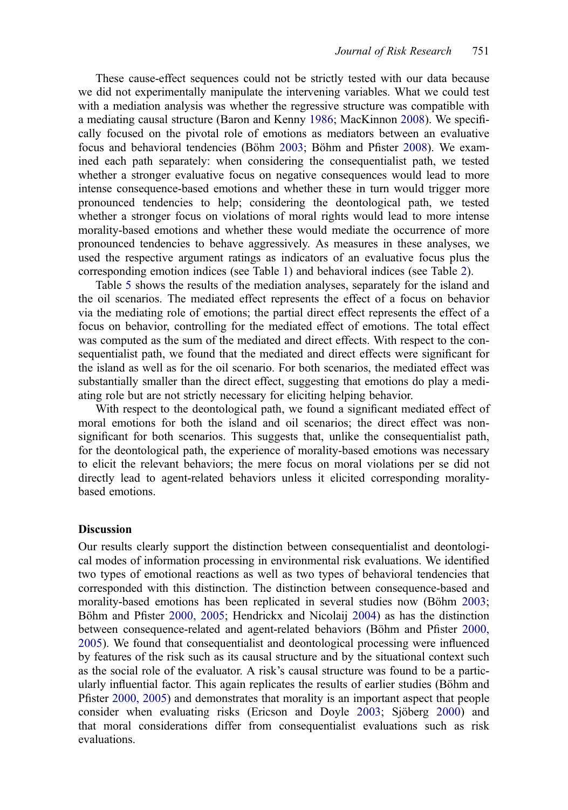These cause-effect sequences could not be strictly tested with our data because we did not experimentally manipulate the intervening variables. What we could test with a mediation analysis was whether the regressive structure was compatible with a mediating causal structure (Baron and Kenny [1986;](#page-25-0) MacKinnon [2008](#page-27-0)). We specifically focused on the pivotal role of emotions as mediators between an evaluative focus and behavioral tendencies (Böhm [2003;](#page-25-0) Böhm and Pfister [2008](#page-26-0)). We examined each path separately: when considering the consequentialist path, we tested whether a stronger evaluative focus on negative consequences would lead to more intense consequence-based emotions and whether these in turn would trigger more pronounced tendencies to help; considering the deontological path, we tested whether a stronger focus on violations of moral rights would lead to more intense morality-based emotions and whether these would mediate the occurrence of more pronounced tendencies to behave aggressively. As measures in these analyses, we used the respective argument ratings as indicators of an evaluative focus plus the corresponding emotion indices (see Table [1\)](#page-10-0) and behavioral indices (see Table [2\)](#page-11-0).

Table [5](#page-20-0) shows the results of the mediation analyses, separately for the island and the oil scenarios. The mediated effect represents the effect of a focus on behavior via the mediating role of emotions; the partial direct effect represents the effect of a focus on behavior, controlling for the mediated effect of emotions. The total effect was computed as the sum of the mediated and direct effects. With respect to the consequentialist path, we found that the mediated and direct effects were significant for the island as well as for the oil scenario. For both scenarios, the mediated effect was substantially smaller than the direct effect, suggesting that emotions do play a mediating role but are not strictly necessary for eliciting helping behavior.

With respect to the deontological path, we found a significant mediated effect of moral emotions for both the island and oil scenarios; the direct effect was nonsignificant for both scenarios. This suggests that, unlike the consequentialist path, for the deontological path, the experience of morality-based emotions was necessary to elicit the relevant behaviors; the mere focus on moral violations per se did not directly lead to agent-related behaviors unless it elicited corresponding moralitybased emotions.

## **Discussion**

Our results clearly support the distinction between consequentialist and deontological modes of information processing in environmental risk evaluations. We identified two types of emotional reactions as well as two types of behavioral tendencies that corresponded with this distinction. The distinction between consequence-based and morality-based emotions has been replicated in several studies now (Böhm [2003](#page-25-0); Böhm and Pfister [2000, 2005](#page-26-0); Hendrickx and Nicolaij [2004](#page-26-0)) as has the distinction between consequence-related and agent-related behaviors (Böhm and Pfister [2000,](#page-26-0) [2005\)](#page-26-0). We found that consequentialist and deontological processing were influenced by features of the risk such as its causal structure and by the situational context such as the social role of the evaluator. A risk's causal structure was found to be a particularly influential factor. This again replicates the results of earlier studies (Böhm and Pfister [2000, 2005](#page-26-0)) and demonstrates that morality is an important aspect that people consider when evaluating risks (Ericson and Doyle [2003;](#page-26-0) Sjöberg [2000](#page-27-0)) and that moral considerations differ from consequentialist evaluations such as risk evaluations.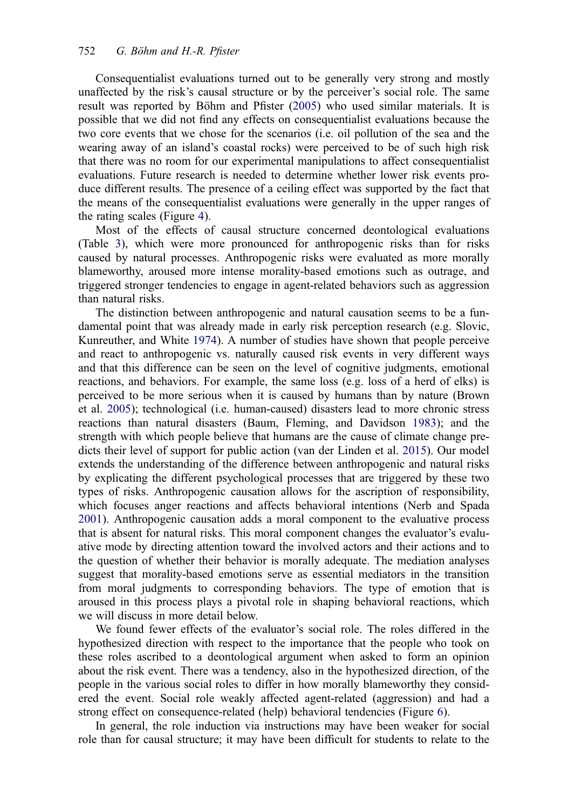Consequentialist evaluations turned out to be generally very strong and mostly unaffected by the risk's causal structure or by the perceiver's social role. The same result was reported by Böhm and Pfister [\(2005](#page-26-0)) who used similar materials. It is possible that we did not find any effects on consequentialist evaluations because the two core events that we chose for the scenarios (i.e. oil pollution of the sea and the wearing away of an island's coastal rocks) were perceived to be of such high risk that there was no room for our experimental manipulations to affect consequentialist evaluations. Future research is needed to determine whether lower risk events produce different results. The presence of a ceiling effect was supported by the fact that the means of the consequentialist evaluations were generally in the upper ranges of the rating scales (Figure [4](#page-18-0)).

Most of the effects of causal structure concerned deontological evaluations (Table [3](#page-17-0)), which were more pronounced for anthropogenic risks than for risks caused by natural processes. Anthropogenic risks were evaluated as more morally blameworthy, aroused more intense morality-based emotions such as outrage, and triggered stronger tendencies to engage in agent-related behaviors such as aggression than natural risks.

The distinction between anthropogenic and natural causation seems to be a fundamental point that was already made in early risk perception research (e.g. Slovic, Kunreuther, and White [1974](#page-27-0)). A number of studies have shown that people perceive and react to anthropogenic vs. naturally caused risk events in very different ways and that this difference can be seen on the level of cognitive judgments, emotional reactions, and behaviors. For example, the same loss (e.g. loss of a herd of elks) is perceived to be more serious when it is caused by humans than by nature (Brown et al. [2005\)](#page-26-0); technological (i.e. human-caused) disasters lead to more chronic stress reactions than natural disasters (Baum, Fleming, and Davidson [1983](#page-25-0)); and the strength with which people believe that humans are the cause of climate change predicts their level of support for public action (van der Linden et al. [2015\)](#page-27-0). Our model extends the understanding of the difference between anthropogenic and natural risks by explicating the different psychological processes that are triggered by these two types of risks. Anthropogenic causation allows for the ascription of responsibility, which focuses anger reactions and affects behavioral intentions (Nerb and Spada [2001\)](#page-27-0). Anthropogenic causation adds a moral component to the evaluative process that is absent for natural risks. This moral component changes the evaluator's evaluative mode by directing attention toward the involved actors and their actions and to the question of whether their behavior is morally adequate. The mediation analyses suggest that morality-based emotions serve as essential mediators in the transition from moral judgments to corresponding behaviors. The type of emotion that is aroused in this process plays a pivotal role in shaping behavioral reactions, which we will discuss in more detail below.

We found fewer effects of the evaluator's social role. The roles differed in the hypothesized direction with respect to the importance that the people who took on these roles ascribed to a deontological argument when asked to form an opinion about the risk event. There was a tendency, also in the hypothesized direction, of the people in the various social roles to differ in how morally blameworthy they considered the event. Social role weakly affected agent-related (aggression) and had a strong effect on consequence-related (help) behavioral tendencies (Figure [6](#page-19-0)).

In general, the role induction via instructions may have been weaker for social role than for causal structure; it may have been difficult for students to relate to the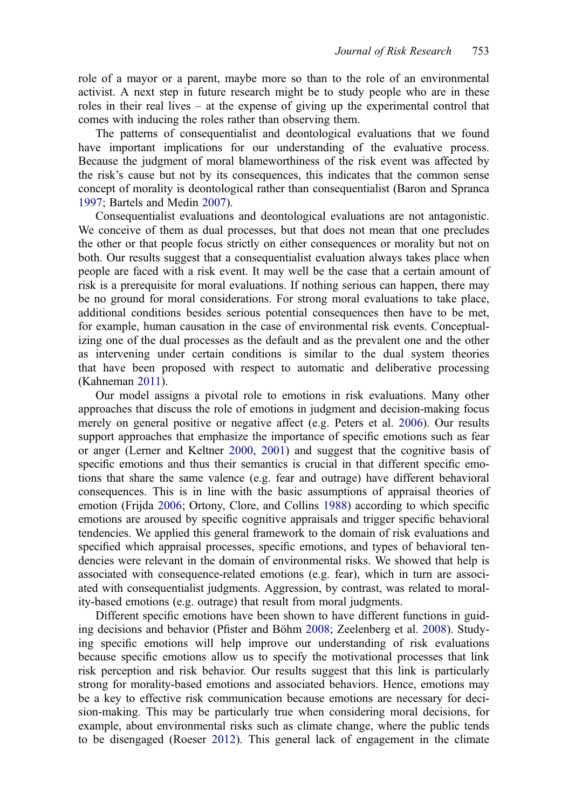role of a mayor or a parent, maybe more so than to the role of an environmental activist. A next step in future research might be to study people who are in these roles in their real lives – at the expense of giving up the experimental control that comes with inducing the roles rather than observing them.

The patterns of consequentialist and deontological evaluations that we found have important implications for our understanding of the evaluative process. Because the judgment of moral blameworthiness of the risk event was affected by the risk's cause but not by its consequences, this indicates that the common sense concept of morality is deontological rather than consequentialist (Baron and Spranca [1997;](#page-25-0) Bartels and Medin [2007](#page-25-0)).

Consequentialist evaluations and deontological evaluations are not antagonistic. We conceive of them as dual processes, but that does not mean that one precludes the other or that people focus strictly on either consequences or morality but not on both. Our results suggest that a consequentialist evaluation always takes place when people are faced with a risk event. It may well be the case that a certain amount of risk is a prerequisite for moral evaluations. If nothing serious can happen, there may be no ground for moral considerations. For strong moral evaluations to take place, additional conditions besides serious potential consequences then have to be met, for example, human causation in the case of environmental risk events. Conceptualizing one of the dual processes as the default and as the prevalent one and the other as intervening under certain conditions is similar to the dual system theories that have been proposed with respect to automatic and deliberative processing (Kahneman [2011](#page-26-0)).

Our model assigns a pivotal role to emotions in risk evaluations. Many other approaches that discuss the role of emotions in judgment and decision-making focus merely on general positive or negative affect (e.g. Peters et al. [2006](#page-27-0)). Our results support approaches that emphasize the importance of specific emotions such as fear or anger (Lerner and Keltner [2000, 2001\)](#page-26-0) and suggest that the cognitive basis of specific emotions and thus their semantics is crucial in that different specific emotions that share the same valence (e.g. fear and outrage) have different behavioral consequences. This is in line with the basic assumptions of appraisal theories of emotion (Frijda [2006](#page-26-0); Ortony, Clore, and Collins [1988\)](#page-27-0) according to which specific emotions are aroused by specific cognitive appraisals and trigger specific behavioral tendencies. We applied this general framework to the domain of risk evaluations and specified which appraisal processes, specific emotions, and types of behavioral tendencies were relevant in the domain of environmental risks. We showed that help is associated with consequence-related emotions (e.g. fear), which in turn are associated with consequentialist judgments. Aggression, by contrast, was related to morality-based emotions (e.g. outrage) that result from moral judgments.

Different specific emotions have been shown to have different functions in guiding decisions and behavior (Pfister and Böhm [2008;](#page-27-0) Zeelenberg et al. [2008](#page-28-0)). Studying specific emotions will help improve our understanding of risk evaluations because specific emotions allow us to specify the motivational processes that link risk perception and risk behavior. Our results suggest that this link is particularly strong for morality-based emotions and associated behaviors. Hence, emotions may be a key to effective risk communication because emotions are necessary for decision-making. This may be particularly true when considering moral decisions, for example, about environmental risks such as climate change, where the public tends to be disengaged (Roeser [2012\)](#page-27-0). This general lack of engagement in the climate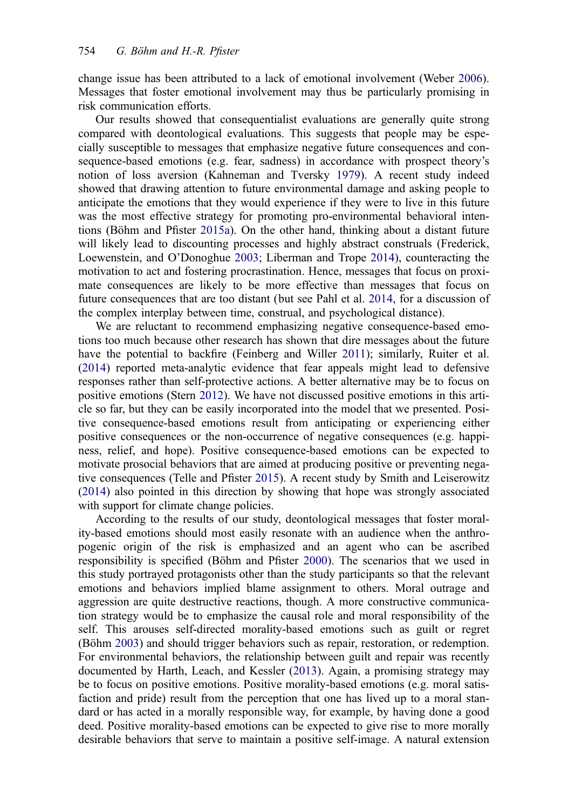change issue has been attributed to a lack of emotional involvement (Weber [2006](#page-28-0)). Messages that foster emotional involvement may thus be particularly promising in risk communication efforts.

Our results showed that consequentialist evaluations are generally quite strong compared with deontological evaluations. This suggests that people may be especially susceptible to messages that emphasize negative future consequences and consequence-based emotions (e.g. fear, sadness) in accordance with prospect theory's notion of loss aversion (Kahneman and Tversky [1979](#page-26-0)). A recent study indeed showed that drawing attention to future environmental damage and asking people to anticipate the emotions that they would experience if they were to live in this future was the most effective strategy for promoting pro-environmental behavioral intentions (Böhm and Pfister [2015a\)](#page-26-0). On the other hand, thinking about a distant future will likely lead to discounting processes and highly abstract construals (Frederick, Loewenstein, and O'Donoghue [2003;](#page-26-0) Liberman and Trope [2014\)](#page-27-0), counteracting the motivation to act and fostering procrastination. Hence, messages that focus on proximate consequences are likely to be more effective than messages that focus on future consequences that are too distant (but see Pahl et al. [2014](#page-27-0), for a discussion of the complex interplay between time, construal, and psychological distance).

We are reluctant to recommend emphasizing negative consequence-based emotions too much because other research has shown that dire messages about the future have the potential to backfire (Feinberg and Willer [2011\)](#page-26-0); similarly, Ruiter et al. [\(2014](#page-27-0)) reported meta-analytic evidence that fear appeals might lead to defensive responses rather than self-protective actions. A better alternative may be to focus on positive emotions (Stern [2012](#page-27-0)). We have not discussed positive emotions in this article so far, but they can be easily incorporated into the model that we presented. Positive consequence-based emotions result from anticipating or experiencing either positive consequences or the non-occurrence of negative consequences (e.g. happiness, relief, and hope). Positive consequence-based emotions can be expected to motivate prosocial behaviors that are aimed at producing positive or preventing negative consequences (Telle and Pfister [2015\)](#page-27-0). A recent study by Smith and Leiserowitz [\(2014](#page-27-0)) also pointed in this direction by showing that hope was strongly associated with support for climate change policies.

According to the results of our study, deontological messages that foster morality-based emotions should most easily resonate with an audience when the anthropogenic origin of the risk is emphasized and an agent who can be ascribed responsibility is specified (Böhm and Pfister [2000\)](#page-26-0). The scenarios that we used in this study portrayed protagonists other than the study participants so that the relevant emotions and behaviors implied blame assignment to others. Moral outrage and aggression are quite destructive reactions, though. A more constructive communication strategy would be to emphasize the causal role and moral responsibility of the self. This arouses self-directed morality-based emotions such as guilt or regret (Böhm [2003\)](#page-25-0) and should trigger behaviors such as repair, restoration, or redemption. For environmental behaviors, the relationship between guilt and repair was recently documented by Harth, Leach, and Kessler ([2013\)](#page-26-0). Again, a promising strategy may be to focus on positive emotions. Positive morality-based emotions (e.g. moral satisfaction and pride) result from the perception that one has lived up to a moral standard or has acted in a morally responsible way, for example, by having done a good deed. Positive morality-based emotions can be expected to give rise to more morally desirable behaviors that serve to maintain a positive self-image. A natural extension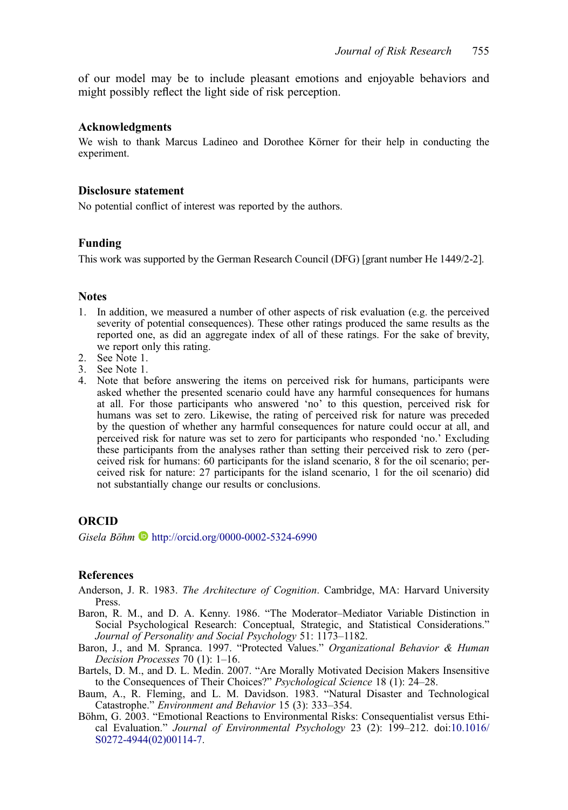<span id="page-25-0"></span>of our model may be to include pleasant emotions and enjoyable behaviors and might possibly reflect the light side of risk perception.

## Acknowledgments

We wish to thank Marcus Ladineo and Dorothee Körner for their help in conducting the experiment.

## Disclosure statement

No potential conflict of interest was reported by the authors.

### Funding

This work was supported by the German Research Council (DFG) [grant number He 1449/2-2].

### **Notes**

- 1. In addition, we measured a number of other aspects of risk evaluation (e.g. the perceived severity of potential consequences). These other ratings produced the same results as the reported one, as did an aggregate index of all of these ratings. For the sake of brevity, we report only this rating.
- 2. See Note 1.
- 3. See Note 1.
- 4. Note that before answering the items on perceived risk for humans, participants were asked whether the presented scenario could have any harmful consequences for humans at all. For those participants who answered 'no' to this question, perceived risk for humans was set to zero. Likewise, the rating of perceived risk for nature was preceded by the question of whether any harmful consequences for nature could occur at all, and perceived risk for nature was set to zero for participants who responded 'no.' Excluding these participants from the analyses rather than setting their perceived risk to zero (perceived risk for humans: 60 participants for the island scenario, 8 for the oil scenario; perceived risk for nature: 27 participants for the island scenario, 1 for the oil scenario) did not substantially change our results or conclusions.

# **ORCID**

Gisela Böhm  $\bullet$  <http://orcid.org/0000-0002-5324-6990>

### References

- Anderson, J. R. 1983. The Architecture of Cognition. Cambridge, MA: Harvard University Press.
- Baron, R. M., and D. A. Kenny. 1986. "The Moderator–Mediator Variable Distinction in Social Psychological Research: Conceptual, Strategic, and Statistical Considerations." Journal of Personality and Social Psychology 51: 1173–1182.
- Baron, J., and M. Spranca. 1997. "Protected Values." Organizational Behavior & Human Decision Processes 70 (1): 1–16.
- Bartels, D. M., and D. L. Medin. 2007. "Are Morally Motivated Decision Makers Insensitive to the Consequences of Their Choices?" Psychological Science 18 (1): 24–28.
- Baum, A., R. Fleming, and L. M. Davidson. 1983. "Natural Disaster and Technological Catastrophe." Environment and Behavior 15 (3): 333–354.
- Böhm, G. 2003. "Emotional Reactions to Environmental Risks: Consequentialist versus Ethical Evaluation." Journal of Environmental Psychology 23 (2): 199–212. doi:[10.1016/](http://dx.doi.org/10.1016/S0272-4944(02)00114-7) [S0272-4944\(02\)00114-7.](http://dx.doi.org/10.1016/S0272-4944(02)00114-7)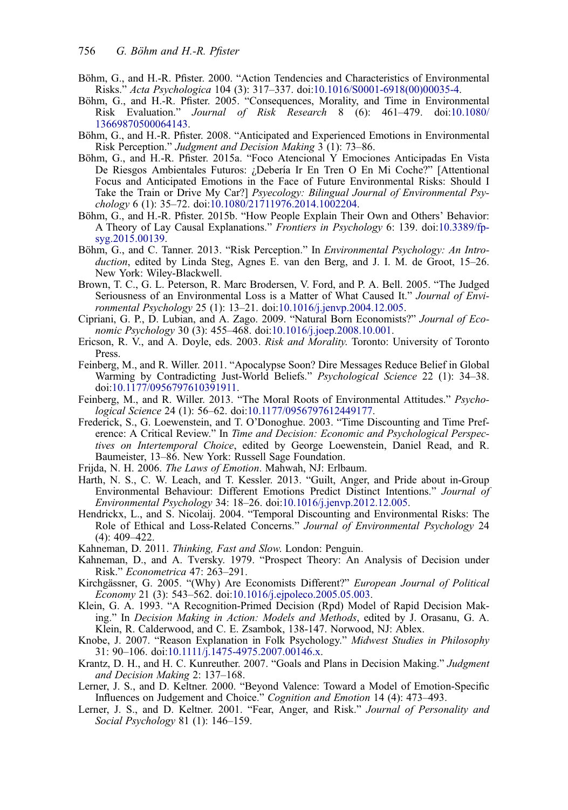- <span id="page-26-0"></span>Böhm, G., and H.-R. Pfister. 2000. "Action Tendencies and Characteristics of Environmental Risks." Acta Psychologica 104 (3): 317–337. doi:[10.1016/S0001-6918\(00\)00035-4.](http://dx.doi.org/10.1016/S0001-6918(00)00035-4)
- Böhm, G., and H.-R. Pfister. 2005. "Consequences, Morality, and Time in Environmental Risk Evaluation." Journal of Risk Research 8 (6): 461–479. doi:[10.1080/](http://dx.doi.org/10.1080/13669870500064143) [13669870500064143](http://dx.doi.org/10.1080/13669870500064143).
- Böhm, G., and H.-R. Pfister. 2008. "Anticipated and Experienced Emotions in Environmental Risk Perception." Judgment and Decision Making 3 (1): 73–86.
- Böhm, G., and H.-R. Pfister. 2015a. "Foco Atencional Y Emociones Anticipadas En Vista De Riesgos Ambientales Futuros: ¿Debería Ir En Tren O En Mi Coche?" [Attentional Focus and Anticipated Emotions in the Face of Future Environmental Risks: Should I Take the Train or Drive My Car?] *Psyecology: Bilingual Journal of Environmental Psy*chology 6 (1): 35–72. doi:[10.1080/21711976.2014.1002204](http://dx.doi.org/10.1080/21711976.2014.1002204).
- Böhm, G., and H.-R. Pfister. 2015b. "How People Explain Their Own and Others' Behavior: A Theory of Lay Causal Explanations." Frontiers in Psychology 6: 139. doi[:10.3389/fp](http://dx.doi.org/10.3389/fpsyg.2015.00139)[syg.2015.00139](http://dx.doi.org/10.3389/fpsyg.2015.00139).
- Böhm, G., and C. Tanner. 2013. "Risk Perception." In Environmental Psychology: An Introduction, edited by Linda Steg, Agnes E. van den Berg, and J. I. M. de Groot, 15–26. New York: Wiley-Blackwell.
- Brown, T. C., G. L. Peterson, R. Marc Brodersen, V. Ford, and P. A. Bell. 2005. "The Judged Seriousness of an Environmental Loss is a Matter of What Caused It." Journal of Environmental Psychology 25 (1): 13–21. doi[:10.1016/j.jenvp.2004.12.005.](http://dx.doi.org/10.1016/j.jenvp.2004.12.005)
- Cipriani, G. P., D. Lubian, and A. Zago. 2009. "Natural Born Economists?" Journal of Economic Psychology 30 (3): 455–468. doi[:10.1016/j.joep.2008.10.001](http://dx.doi.org/10.1016/j.joep.2008.10.001).
- Ericson, R. V., and A. Doyle, eds. 2003. Risk and Morality. Toronto: University of Toronto Press.
- Feinberg, M., and R. Willer. 2011. "Apocalypse Soon? Dire Messages Reduce Belief in Global Warming by Contradicting Just-World Beliefs." Psychological Science 22 (1): 34–38. doi[:10.1177/0956797610391911.](http://dx.doi.org/10.1177/0956797610391911)
- Feinberg, M., and R. Willer. 2013. "The Moral Roots of Environmental Attitudes." Psychological Science 24 (1): 56–62. doi:[10.1177/0956797612449177.](http://dx.doi.org/10.1177/0956797612449177)
- Frederick, S., G. Loewenstein, and T. O'Donoghue. 2003. "Time Discounting and Time Preference: A Critical Review." In Time and Decision: Economic and Psychological Perspectives on Intertemporal Choice, edited by George Loewenstein, Daniel Read, and R. Baumeister, 13–86. New York: Russell Sage Foundation.
- Frijda, N. H. 2006. The Laws of Emotion. Mahwah, NJ: Erlbaum.
- Harth, N. S., C. W. Leach, and T. Kessler. 2013. "Guilt, Anger, and Pride about in-Group Environmental Behaviour: Different Emotions Predict Distinct Intentions." Journal of Environmental Psychology 34: 18–26. doi[:10.1016/j.jenvp.2012.12.005](http://dx.doi.org/10.1016/j.jenvp.2012.12.005).
- Hendrickx, L., and S. Nicolaij. 2004. "Temporal Discounting and Environmental Risks: The Role of Ethical and Loss-Related Concerns." Journal of Environmental Psychology 24 (4): 409–422.
- Kahneman, D. 2011. Thinking, Fast and Slow. London: Penguin.
- Kahneman, D., and A. Tversky. 1979. "Prospect Theory: An Analysis of Decision under Risk." Econometrica 47: 263–291.
- Kirchgässner, G. 2005. "(Why) Are Economists Different?" European Journal of Political Economy 21 (3): 543–562. doi[:10.1016/j.ejpoleco.2005.05.003.](http://dx.doi.org/10.1016/j.ejpoleco.2005.05.003)
- Klein, G. A. 1993. "A Recognition-Primed Decision (Rpd) Model of Rapid Decision Making." In Decision Making in Action: Models and Methods, edited by J. Orasanu, G. A. Klein, R. Calderwood, and C. E. Zsambok, 138-147. Norwood, NJ: Ablex.
- Knobe, J. 2007. "Reason Explanation in Folk Psychology." Midwest Studies in Philosophy 31: 90–106. doi:[10.1111/j.1475-4975.2007.00146.x](http://dx.doi.org/10.1111/j.1475-4975.2007.00146.x).
- Krantz, D. H., and H. C. Kunreuther. 2007. "Goals and Plans in Decision Making." Judgment and Decision Making 2: 137–168.
- Lerner, J. S., and D. Keltner. 2000. "Beyond Valence: Toward a Model of Emotion-Specific Influences on Judgement and Choice." Cognition and Emotion 14 (4): 473–493.
- Lerner, J. S., and D. Keltner. 2001. "Fear, Anger, and Risk." Journal of Personality and Social Psychology 81 (1): 146–159.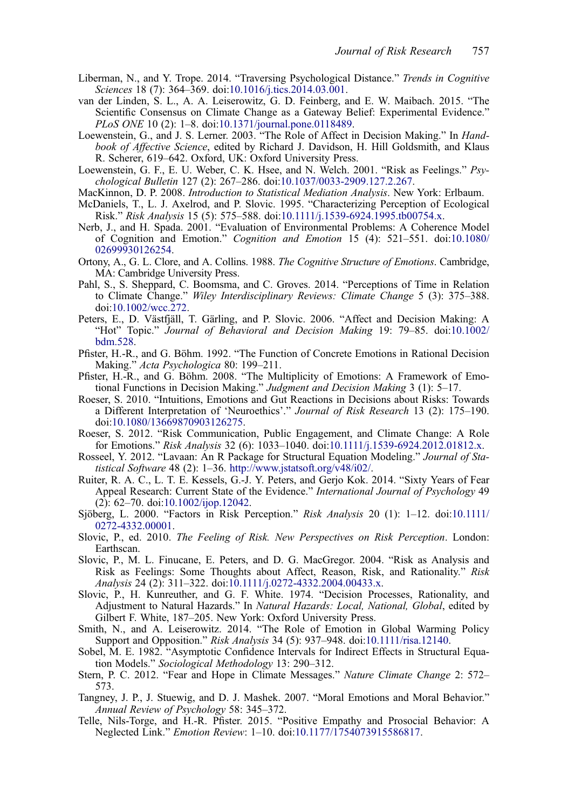- <span id="page-27-0"></span>Liberman, N., and Y. Trope. 2014. "Traversing Psychological Distance." Trends in Cognitive Sciences 18 (7): 364–369. doi[:10.1016/j.tics.2014.03.001](http://dx.doi.org/10.1016/j.tics.2014.03.001).
- van der Linden, S. L., A. A. Leiserowitz, G. D. Feinberg, and E. W. Maibach. 2015. "The Scientific Consensus on Climate Change as a Gateway Belief: Experimental Evidence." PLoS ONE 10 (2): 1–8. doi[:10.1371/journal.pone.0118489.](http://dx.doi.org/10.1371/journal.pone.0118489)
- Loewenstein, G., and J. S. Lerner. 2003. "The Role of Affect in Decision Making." In Handbook of Affective Science, edited by Richard J. Davidson, H. Hill Goldsmith, and Klaus R. Scherer, 619–642. Oxford, UK: Oxford University Press.
- Loewenstein, G. F., E. U. Weber, C. K. Hsee, and N. Welch. 2001. "Risk as Feelings." Psychological Bulletin 127 (2): 267–286. doi:[10.1037/0033-2909.127.2.267](http://dx.doi.org/10.1037/0033-2909.127.2.267).
- MacKinnon, D. P. 2008. Introduction to Statistical Mediation Analysis. New York: Erlbaum.
- McDaniels, T., L. J. Axelrod, and P. Slovic. 1995. "Characterizing Perception of Ecological Risk." Risk Analysis 15 (5): 575–588. doi[:10.1111/j.1539-6924.1995.tb00754.x](http://dx.doi.org/10.1111/j.1539-6924.1995.tb00754.x).
- Nerb, J., and H. Spada. 2001. "Evaluation of Environmental Problems: A Coherence Model of Cognition and Emotion." Cognition and Emotion 15 (4): 521–551. doi:[10.1080/](http://dx.doi.org/10.1080/02699930126254) [02699930126254.](http://dx.doi.org/10.1080/02699930126254)
- Ortony, A., G. L. Clore, and A. Collins. 1988. The Cognitive Structure of Emotions. Cambridge, MA: Cambridge University Press.
- Pahl, S., S. Sheppard, C. Boomsma, and C. Groves. 2014. "Perceptions of Time in Relation to Climate Change." Wiley Interdisciplinary Reviews: Climate Change 5 (3): 375–388. doi[:10.1002/wcc.272](http://dx.doi.org/10.1002/wcc.272).
- Peters, E., D. Västfjäll, T. Gärling, and P. Slovic. 2006. "Affect and Decision Making: A "Hot" Topic." Journal of Behavioral and Decision Making 19: 79–85. doi:[10.1002/](http://dx.doi.org/10.1002/bdm.528) [bdm.528](http://dx.doi.org/10.1002/bdm.528).
- Pfister, H.-R., and G. Böhm. 1992. "The Function of Concrete Emotions in Rational Decision Making." Acta Psychologica 80: 199–211.
- Pfister, H.-R., and G. Böhm. 2008. "The Multiplicity of Emotions: A Framework of Emotional Functions in Decision Making." Judgment and Decision Making 3 (1): 5–17.
- Roeser, S. 2010. "Intuitions, Emotions and Gut Reactions in Decisions about Risks: Towards a Different Interpretation of 'Neuroethics'." Journal of Risk Research 13 (2): 175–190. doi[:10.1080/13669870903126275](http://dx.doi.org/10.1080/13669870903126275).
- Roeser, S. 2012. "Risk Communication, Public Engagement, and Climate Change: A Role for Emotions." Risk Analysis 32 (6): 1033–1040. doi[:10.1111/j.1539-6924.2012.01812.x.](http://dx.doi.org/10.1111/j.1539-6924.2012.01812.x)
- Rosseel, Y. 2012. "Lavaan: An R Package for Structural Equation Modeling." Journal of Statistical Software 48 (2): 1–36. <http://www.jstatsoft.org/v48/i02/>.
- Ruiter, R. A. C., L. T. E. Kessels, G.-J. Y. Peters, and Gerjo Kok. 2014. "Sixty Years of Fear Appeal Research: Current State of the Evidence." International Journal of Psychology 49 (2): 62–70. doi[:10.1002/ijop.12042](http://dx.doi.org/10.1002/ijop.12042).
- Sjöberg, L. 2000. "Factors in Risk Perception." Risk Analysis 20 (1): 1–12. doi:[10.1111/](http://dx.doi.org/10.1111/0272-4332.00001) [0272-4332.00001.](http://dx.doi.org/10.1111/0272-4332.00001)
- Slovic, P., ed. 2010. The Feeling of Risk. New Perspectives on Risk Perception. London: Earthscan.
- Slovic, P., M. L. Finucane, E. Peters, and D. G. MacGregor. 2004. "Risk as Analysis and Risk as Feelings: Some Thoughts about Affect, Reason, Risk, and Rationality." Risk Analysis 24 (2): 311–322. doi[:10.1111/j.0272-4332.2004.00433.x](http://dx.doi.org/10.1111/j.0272-4332.2004.00433.x).
- Slovic, P., H. Kunreuther, and G. F. White. 1974. "Decision Processes, Rationality, and Adjustment to Natural Hazards." In Natural Hazards: Local, National, Global, edited by Gilbert F. White, 187–205. New York: Oxford University Press.
- Smith, N., and A. Leiserowitz. 2014. "The Role of Emotion in Global Warming Policy Support and Opposition." Risk Analysis 34 (5): 937–948. doi:[10.1111/risa.12140.](http://dx.doi.org/10.1111/risa.12140)
- Sobel, M. E. 1982. "Asymptotic Confidence Intervals for Indirect Effects in Structural Equation Models." Sociological Methodology 13: 290–312.
- Stern, P. C. 2012. "Fear and Hope in Climate Messages." Nature Climate Change 2: 572– 573.
- Tangney, J. P., J. Stuewig, and D. J. Mashek. 2007. "Moral Emotions and Moral Behavior." Annual Review of Psychology 58: 345–372.
- Telle, Nils-Torge, and H.-R. Pfister. 2015. "Positive Empathy and Prosocial Behavior: A Neglected Link." Emotion Review: 1–10. doi[:10.1177/1754073915586817](http://dx.doi.org/10.1177/1754073915586817).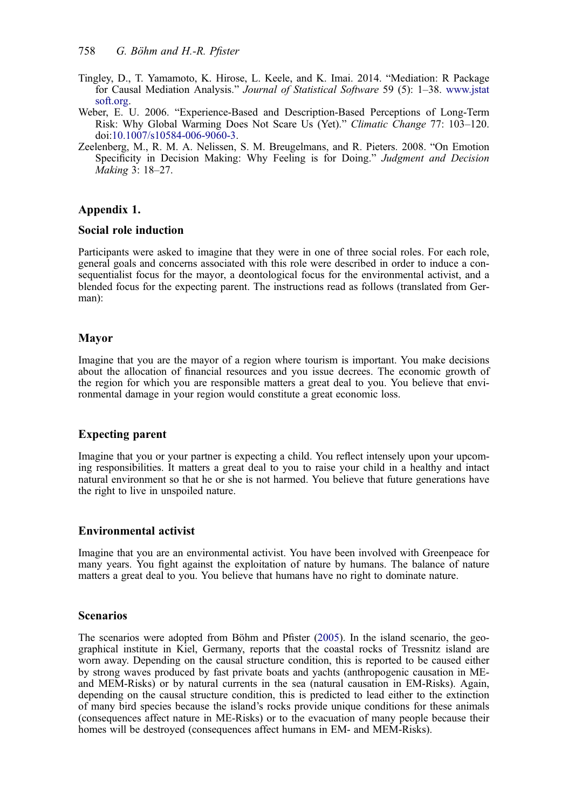- <span id="page-28-0"></span>Tingley, D., T. Yamamoto, K. Hirose, L. Keele, and K. Imai. 2014. "Mediation: R Package for Causal Mediation Analysis." Journal of Statistical Software 59 (5): 1–38. [www.jstat](http://www.jstatsoft.org) [soft.org.](http://www.jstatsoft.org)
- Weber, E. U. 2006. "Experience-Based and Description-Based Perceptions of Long-Term Risk: Why Global Warming Does Not Scare Us (Yet)." Climatic Change 77: 103–120. doi[:10.1007/s10584-006-9060-3.](http://dx.doi.org/10.1007/s10584-006-9060-3)
- Zeelenberg, M., R. M. A. Nelissen, S. M. Breugelmans, and R. Pieters. 2008. "On Emotion Specificity in Decision Making: Why Feeling is for Doing." Judgment and Decision Making 3: 18–27.

## Appendix 1.

#### Social role induction

Participants were asked to imagine that they were in one of three social roles. For each role, general goals and concerns associated with this role were described in order to induce a consequentialist focus for the mayor, a deontological focus for the environmental activist, and a blended focus for the expecting parent. The instructions read as follows (translated from German):

#### Mayor

Imagine that you are the mayor of a region where tourism is important. You make decisions about the allocation of financial resources and you issue decrees. The economic growth of the region for which you are responsible matters a great deal to you. You believe that environmental damage in your region would constitute a great economic loss.

### Expecting parent

Imagine that you or your partner is expecting a child. You reflect intensely upon your upcoming responsibilities. It matters a great deal to you to raise your child in a healthy and intact natural environment so that he or she is not harmed. You believe that future generations have the right to live in unspoiled nature.

## Environmental activist

Imagine that you are an environmental activist. You have been involved with Greenpeace for many years. You fight against the exploitation of nature by humans. The balance of nature matters a great deal to you. You believe that humans have no right to dominate nature.

### **Scenarios**

The scenarios were adopted from Böhm and Pfister ([2005\)](#page-26-0). In the island scenario, the geographical institute in Kiel, Germany, reports that the coastal rocks of Tressnitz island are worn away. Depending on the causal structure condition, this is reported to be caused either by strong waves produced by fast private boats and yachts (anthropogenic causation in MEand MEM-Risks) or by natural currents in the sea (natural causation in EM-Risks). Again, depending on the causal structure condition, this is predicted to lead either to the extinction of many bird species because the island's rocks provide unique conditions for these animals (consequences affect nature in ME-Risks) or to the evacuation of many people because their homes will be destroyed (consequences affect humans in EM- and MEM-Risks).